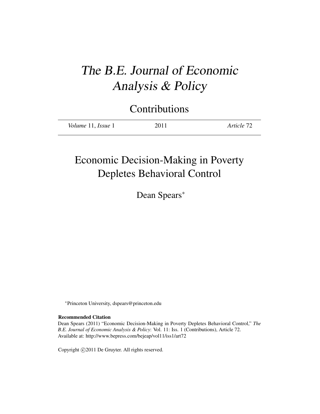# The B.E. Journal of Economic Analysis & Policy

# Contributions

*Volume* 11, *Issue* 1 2011 *Article* 72

# Economic Decision-Making in Poverty Depletes Behavioral Control

Dean Spears<sup>∗</sup>

<sup>∗</sup>Princeton University, dspears@princeton.edu

#### Recommended Citation

Dean Spears (2011) "Economic Decision-Making in Poverty Depletes Behavioral Control," *The B.E. Journal of Economic Analysis & Policy*: Vol. 11: Iss. 1 (Contributions), Article 72. Available at: http://www.bepress.com/bejeap/vol11/iss1/art72

Copyright ©2011 De Gruyter. All rights reserved.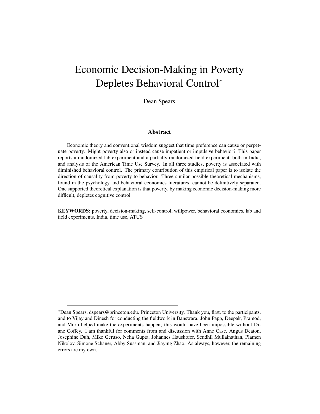# Economic Decision-Making in Poverty Depletes Behavioral Control<sup>∗</sup>

Dean Spears

#### Abstract

Economic theory and conventional wisdom suggest that time preference can cause or perpetuate poverty. Might poverty also or instead cause impatient or impulsive behavior? This paper reports a randomized lab experiment and a partially randomized field experiment, both in India, and analysis of the American Time Use Survey. In all three studies, poverty is associated with diminished behavioral control. The primary contribution of this empirical paper is to isolate the direction of causality from poverty to behavior. Three similar possible theoretical mechanisms, found in the psychology and behavioral economics literatures, cannot be definitively separated. One supported theoretical explanation is that poverty, by making economic decision-making more difficult, depletes cognitive control.

KEYWORDS: poverty, decision-making, self-control, willpower, behavioral economics, lab and field experiments, India, time use, ATUS

<sup>∗</sup>Dean Spears, dspears@princeton.edu. Princeton University. Thank you, first, to the participants, and to Vijay and Dinesh for conducting the fieldwork in Banswara. John Papp, Deepak, Pramod, and Murli helped make the experiments happen; this would have been impossible without Diane Coffey. I am thankful for comments from and discussion with Anne Case, Angus Deaton, Josephine Duh, Mike Geruso, Neha Gupta, Johannes Haushofer, Sendhil Mullainathan, Plamen Nikolov, Simone Schaner, Abby Sussman, and Jiaying Zhao. As always, however, the remaining errors are my own.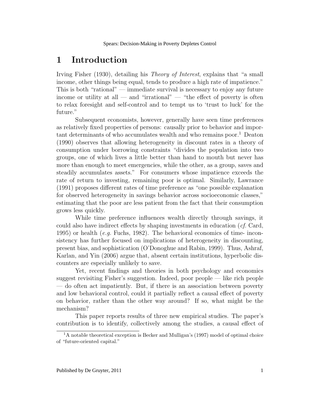# 1 Introduction

Irving Fisher (1930), detailing his Theory of Interest, explains that "a small income, other things being equal, tends to produce a high rate of impatience." This is both "rational" — immediate survival is necessary to enjoy any future income or utility at all — and "irrational" — "the effect of poverty is often to relax foresight and self-control and to tempt us to 'trust to luck' for the future."

Subsequent economists, however, generally have seen time preferences as relatively fixed properties of persons: causally prior to behavior and important determinants of who accumulates wealth and who remains poor.<sup>1</sup> Deaton (1990) observes that allowing heterogeneity in discount rates in a theory of consumption under borrowing constraints "divides the population into two groups, one of which lives a little better than hand to mouth but never has more than enough to meet emergencies, while the other, as a group, saves and steadily accumulates assets." For consumers whose impatience exceeds the rate of return to investing, remaining poor is optimal. Similarly, Lawrance (1991) proposes different rates of time preference as "one possible explanation for observed heterogeneity in savings behavior across socioeconomic classes," estimating that the poor are less patient from the fact that their consumption grows less quickly.

While time preference influences wealth directly through savings, it could also have indirect effects by shaping investments in education (cf. Card, 1995) or health (e.g. Fuchs, 1982). The behavioral economics of time-inconsistency has further focused on implications of heterogeneity in discounting, present bias, and sophistication (O'Donoghue and Rabin, 1999). Thus, Ashraf, Karlan, and Yin (2006) argue that, absent certain institutions, hyperbolic discounters are especially unlikely to save.

Yet, recent findings and theories in both psychology and economics suggest revisiting Fisher's suggestion. Indeed, poor people — like rich people — do often act impatiently. But, if there is an association between poverty and low behavioral control, could it partially reflect a causal effect of poverty on behavior, rather than the other way around? If so, what might be the mechanism?

This paper reports results of three new empirical studies. The paper's contribution is to identify, collectively among the studies, a causal effect of

<sup>&</sup>lt;sup>1</sup>A notable theoretical exception is Becker and Mulligan's (1997) model of optimal choice of "future-oriented capital."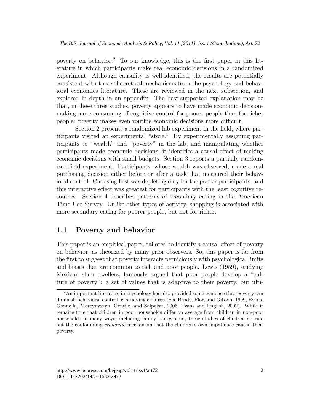poverty on behavior.<sup>2</sup> To our knowledge, this is the first paper in this literature in which participants make real economic decisions in a randomized experiment. Although causality is well-identified, the results are potentially consistent with three theoretical mechanisms from the psychology and behavioral economics literature. These are reviewed in the next subsection, and explored in depth in an appendix. The best-supported explanation may be that, in these three studies, poverty appears to have made economic decisionmaking more consuming of cognitive control for poorer people than for richer people: poverty makes even routine economic decisions more difficult.

Section 2 presents a randomized lab experiment in the field, where participants visited an experimental "store." By experimentally assigning participants to "wealth" and "poverty" in the lab, and manipulating whether participants made economic decisions, it identifies a causal effect of making economic decisions with small budgets. Section 3 reports a partially randomized field experiment. Participants, whose wealth was observed, made a real purchasing decision either before or after a task that measured their behavioral control. Choosing first was depleting only for the poorer participants, and this interactive effect was greatest for participants with the least cognitive resources. Section 4 describes patterns of secondary eating in the American Time Use Survey. Unlike other types of activity, shopping is associated with more secondary eating for poorer people, but not for richer.

### 1.1 Poverty and behavior

This paper is an empirical paper, tailored to identify a causal effect of poverty on behavior, as theorized by many prior observers. So, this paper is far from the first to suggest that poverty interacts perniciously with psychological limits and biases that are common to rich and poor people. Lewis (1959), studying Mexican slum dwellers, famously argued that poor people develop a "culture of poverty": a set of values that is adaptive to their poverty, but ulti-

<sup>2</sup>An important literature in psychology has also provided some evidence that poverty can diminish behavioral control by studying children (e.g. Brody, Flor, and Gibson, 1999, Evans, Gonnella, Marcynyszyn, Gentile, and Salpekar, 2005, Evans and English, 2002). While it remains true that children in poor households differ on average from children in non-poor households in many ways, including family background, these studies of children do rule out the confounding economic mechanism that the children's own impatience caused their poverty.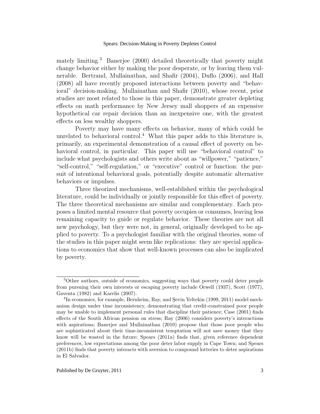mately limiting.<sup>3</sup> Banerjee (2000) detailed theoretically that poverty might change behavior either by making the poor desperate, or by leaving them vulnerable. Bertrand, Mullainathan, and Shafir (2004), Duflo (2006), and Hall (2008) all have recently proposed interactions between poverty and "behavioral" decision-making. Mullainathan and Shafir (2010), whose recent, prior studies are most related to those in this paper, demonstrate greater depleting effects on math performance by New Jersey mall shoppers of an expensive hypothetical car repair decision than an inexpensive one, with the greatest effects on less wealthy shoppers.

Poverty may have many effects on behavior, many of which could be unrelated to behavioral control.<sup>4</sup> What this paper adds to this literature is, primarily, an experimental demonstration of a causal effect of poverty on behavioral control, in particular. This paper will use "behavioral control" to include what psychologists and others write about as "willpower," "patience," "self-control," "self-regulation," or "executive" control or function: the pursuit of intentional behavioral goals, potentially despite automatic alternative behaviors or impulses.

Three theorized mechanisms, well-established within the psychological literature, could be individually or jointly responsible for this effect of poverty. The three theoretical mechanisms are similar and complementary. Each proposes a limited mental resource that poverty occupies or consumes, leaving less remaining capacity to guide or regulate behavior. These theories are not all new psychology, but they were not, in general, originally developed to be applied to poverty. To a psychologist familiar with the original theories, some of the studies in this paper might seem like replications: they are special applications to economics that show that well-known processes can also be implicated by poverty.

<sup>3</sup>Other authors, outside of economics, suggesting ways that poverty could deter people from pursuing their own interests or escaping poverty include Orwell (1937), Scott (1977), Gaventa (1982) and Karelis (2007).

<sup>&</sup>lt;sup>4</sup>In economics, for example, Bernheim, Ray, and Şevin Yeltekin (1999, 2011) model mechanism design under time inconsistency, demonstrating that credit-constrained poor people may be unable to implement personal rules that discipline their patience; Case (2001) finds effects of the South African pension on stress; Ray (2006) considers poverty's interactions with aspirations; Banerjee and Mullainathan (2010) propose that those poor people who are sophisticated about their time-inconsistent temptation will not save money that they know will be wasted in the future; Spears (2011a) finds that, given reference dependent preferences, low expectations among the poor deter labor supply in Cape Town; and Spears (2011b) finds that poverty interacts with aversion to compound lotteries to deter aspirations in El Salvador.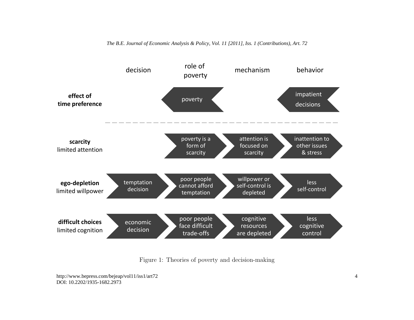*The B.E. Journal of Economic Analysis & Policy, Vol. 11 [2011], Iss. 1 (Contributions), Art. 72*



Figure 1: Theories of poverty and decision-making

http://www.bepress.com/bejeap/vol11/iss1/art72DOI: 10.2202/1935-1682.2973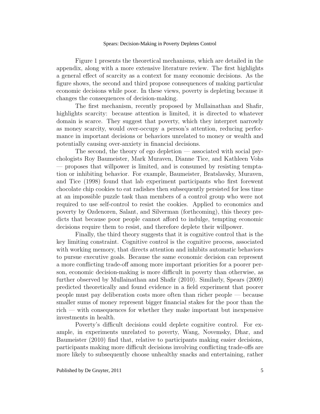Figure 1 presents the theoretical mechanisms, which are detailed in the appendix, along with a more extensive literature review. The first highlights a general effect of scarcity as a context for many economic decisions. As the figure shows, the second and third propose consequences of making particular economic decisions while poor. In these views, poverty is depleting because it changes the consequences of decision-making.

The first mechanism, recently proposed by Mullainathan and Shafir, highlights scarcity: because attention is limited, it is directed to whatever domain is scarce. They suggest that poverty, which they interpret narrowly as money scarcity, would over-occupy a person's attention, reducing performance in important decisions or behaviors unrelated to money or wealth and potentially causing over-anxiety in financial decisions.

The second, the theory of ego depletion — associated with social psychologists Roy Baumeister, Mark Muraven, Dianne Tice, and Kathleen Vohs — proposes that willpower is limited, and is consumed by resisting temptation or inhibiting behavior. For example, Baumeister, Bratslavsky, Muraven, and Tice (1998) found that lab experiment participants who first forewent chocolate chip cookies to eat radishes then subsequently persisted for less time at an impossible puzzle task than members of a control group who were not required to use self-control to resist the cookies. Applied to economics and poverty by Ozdenoren, Salant, and Silverman (forthcoming), this theory predicts that because poor people cannot afford to indulge, tempting economic decisions require them to resist, and therefore deplete their willpower.

Finally, the third theory suggests that it is cognitive control that is the key limiting constraint. Cognitive control is the cognitive process, associated with working memory, that directs attention and inhibits automatic behaviors to pursue executive goals. Because the same economic decision can represent a more conflicting trade-off among more important priorities for a poorer person, economic decision-making is more difficult in poverty than otherwise, as further observed by Mullainathan and Shafir (2010). Similarly, Spears (2009) predicted theoretically and found evidence in a field experiment that poorer people must pay deliberation costs more often than richer people — because smaller sums of money represent bigger financial stakes for the poor than the rich — with consequences for whether they make important but inexpensive investments in health.

Poverty's difficult decisions could deplete cognitive control. For example, in experiments unrelated to poverty, Wang, Novemsky, Dhar, and Baumeister (2010) find that, relative to participants making easier decisions, participants making more difficult decisions involving conflicting trade-offs are more likely to subsequently choose unhealthy snacks and entertaining, rather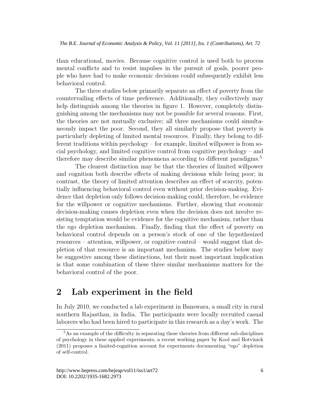than educational, movies. Because cognitive control is used both to process mental conflicts and to resist impulses in the pursuit of goals, poorer people who have had to make economic decisions could subsequently exhibit less behavioral control.

The three studies below primarily separate an effect of poverty from the countervailing effects of time preference. Additionally, they collectively may help distinguish among the theories in figure 1. However, completely distinguishing among the mechanisms may not be possible for several reasons. First, the theories are not mutually exclusive; all three mechanisms could simultaneously impact the poor. Second, they all similarly propose that poverty is particularly depleting of limited mental resources. Finally, they belong to different traditions within psychology – for example, limited willpower is from social psychology, and limited cognitive control from cognitive psychology – and therefore may describe similar phenomena according to different paradigms.<sup>5</sup>

The clearest distinction may be that the theories of limited willpower and cognition both describe effects of making decisions while being poor; in contrast, the theory of limited attention describes an effect of scarcity, potentially influencing behavioral control even without prior decision-making. Evidence that depletion only follows decision-making could, therefore, be evidence for the willpower or cognitive mechanisms. Further, showing that economic decision-making causes depletion even when the decision does not involve resisting temptation would be evidence for the cognitive mechanism, rather than the ego depletion mechanism. Finally, finding that the effect of poverty on behavioral control depends on a person's stock of one of the hypothesized resources – attention, willpower, or cognitive control – would suggest that depletion of that resource is an important mechanism. The studies below may be suggestive among these distinctions, but their most important implication is that some combination of these three similar mechanisms matters for the behavioral control of the poor.

# 2 Lab experiment in the field

In July 2010, we conducted a lab experiment in Banswara, a small city in rural southern Rajasthan, in India. The participants were locally recruited casual laborers who had been hired to participate in this research as a day's work. The

<sup>5</sup>As an example of the difficulty in separating these theories from different sub-disciplines of psychology in these applied experiments, a recent working paper by Kool and Botvinick (2011) proposes a limited-cognition account for experiments documenting "ego" depletion of self-control.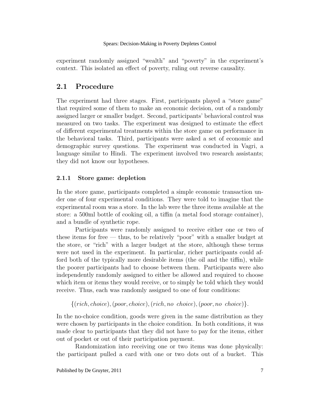experiment randomly assigned "wealth" and "poverty" in the experiment's context. This isolated an effect of poverty, ruling out reverse causality.

# 2.1 Procedure

The experiment had three stages. First, participants played a "store game" that required some of them to make an economic decision, out of a randomly assigned larger or smaller budget. Second, participants' behavioral control was measured on two tasks. The experiment was designed to estimate the effect of different experimental treatments within the store game on performance in the behavioral tasks. Third, participants were asked a set of economic and demographic survey questions. The experiment was conducted in Vagri, a language similar to Hindi. The experiment involved two research assistants; they did not know our hypotheses.

### 2.1.1 Store game: depletion

In the store game, participants completed a simple economic transaction under one of four experimental conditions. They were told to imagine that the experimental room was a store. In the lab were the three items available at the store: a 500ml bottle of cooking oil, a tiffin (a metal food storage container), and a bundle of synthetic rope.

Participants were randomly assigned to receive either one or two of these items for free — thus, to be relatively "poor" with a smaller budget at the store, or "rich" with a larger budget at the store, although these terms were not used in the experiment. In particular, richer participants could afford both of the typically more desirable items (the oil and the tiffin), while the poorer participants had to choose between them. Participants were also independently randomly assigned to either be allowed and required to choose which item or items they would receive, or to simply be told which they would receive. Thus, each was randomly assigned to one of four conditions:

 $\{(rich, choice), (poor, choice), (rich, no, choice), (poor, no, choice)\}.$ 

In the no-choice condition, goods were given in the same distribution as they were chosen by participants in the choice condition. In both conditions, it was made clear to participants that they did not have to pay for the items, either out of pocket or out of their participation payment.

Randomization into receiving one or two items was done physically: the participant pulled a card with one or two dots out of a bucket. This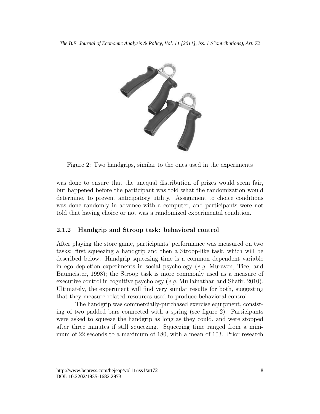

Figure 2: Two handgrips, similar to the ones used in the experiments

was done to ensure that the unequal distribution of prizes would seem fair, but happened before the participant was told what the randomization would determine, to prevent anticipatory utility. Assignment to choice conditions was done randomly in advance with a computer, and participants were not told that having choice or not was a randomized experimental condition.

# 2.1.2 Handgrip and Stroop task: behavioral control

After playing the store game, participants' performance was measured on two tasks: first squeezing a handgrip and then a Stroop-like task, which will be described below. Handgrip squeezing time is a common dependent variable in ego depletion experiments in social psychology (e.g. Muraven, Tice, and Baumeister, 1998); the Stroop task is more commonly used as a measure of executive control in cognitive psychology (e.g. Mullainathan and Shafir, 2010). Ultimately, the experiment will find very similar results for both, suggesting that they measure related resources used to produce behavioral control.

The handgrip was commercially-purchased exercise equipment, consisting of two padded bars connected with a spring (see figure 2). Participants were asked to squeeze the handgrip as long as they could, and were stopped after three minutes if still squeezing. Squeezing time ranged from a minimum of 22 seconds to a maximum of 180, with a mean of 103. Prior research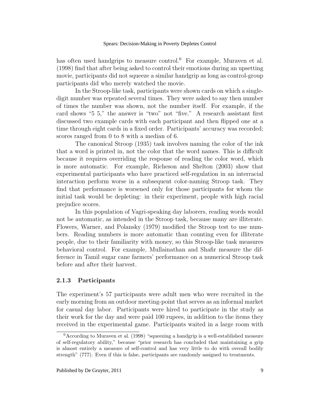has often used handgrips to measure control.<sup>6</sup> For example, Muraven et al. (1998) find that after being asked to control their emotions during an upsetting movie, participants did not squeeze a similar handgrip as long as control-group participants did who merely watched the movie.

In the Stroop-like task, participants were shown cards on which a singledigit number was repeated several times. They were asked to say then number of times the number was shown, not the number itself. For example, if the card shows "5 5," the answer is "two" not "five." A research assistant first discussed two example cards with each participant and then flipped one at a time through eight cards in a fixed order. Participants' accuracy was recorded; scores ranged from 0 to 8 with a median of 6.

The canonical Stroop (1935) task involves naming the color of the ink that a word is printed in, not the color that the word names. This is difficult because it requires overriding the response of reading the color word, which is more automatic. For example, Richeson and Shelton (2003) show that experimental participants who have practiced self-regulation in an interracial interaction perform worse in a subsequent color-naming Stroop task. They find that performance is worsened only for those participants for whom the initial task would be depleting: in their experiment, people with high racial prejudice scores.

In this population of Vagri-speaking day laborers, reading words would not be automatic, as intended in the Stroop task, because many are illiterate. Flowers, Warner, and Polansky (1979) modified the Stroop test to use numbers. Reading numbers is more automatic than counting even for illiterate people, due to their familiarity with money, so this Stroop-like task measures behavioral control. For example, Mullainathan and Shafir measure the difference in Tamil sugar cane farmers' performance on a numerical Stroop task before and after their harvest.

### 2.1.3 Participants

The experiment's 57 participants were adult men who were recruited in the early morning from an outdoor meeting-point that serves as an informal market for casual day labor. Participants were hired to participate in the study as their work for the day and were paid 100 rupees, in addition to the items they received in the experimental game. Participants waited in a large room with

 $6$ According to Muraven et al. (1998) "squeezing a handgrip is a well-established measure of self-regulatory ability," because "prior research has concluded that maintaining a grip is almost entirely a measure of self-control and has very little to do with overall bodily strength" (777). Even if this is false, participants are randomly assigned to treatments.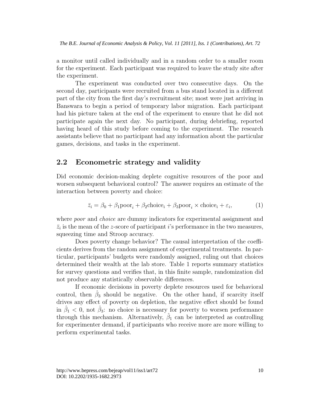a monitor until called individually and in a random order to a smaller room for the experiment. Each participant was required to leave the study site after the experiment.

The experiment was conducted over two consecutive days. On the second day, participants were recruited from a bus stand located in a different part of the city from the first day's recruitment site; most were just arriving in Banswara to begin a period of temporary labor migration. Each participant had his picture taken at the end of the experiment to ensure that he did not participate again the next day. No participant, during debriefing, reported having heard of this study before coming to the experiment. The research assistants believe that no participant had any information about the particular games, decisions, and tasks in the experiment.

## 2.2 Econometric strategy and validity

Did economic decision-making deplete cognitive resources of the poor and worsen subsequent behavioral control? The answer requires an estimate of the interaction between poverty and choice:

$$
\bar{z}_i = \beta_0 + \beta_1 \text{poor}_i + \beta_2 \text{choice}_i + \beta_3 \text{poor}_i \times \text{choice}_i + \varepsilon_i,\tag{1}
$$

where *poor* and *choice* are dummy indicators for experimental assignment and  $\bar{z}_i$  is the mean of the z-score of participant i's performance in the two measures, squeezing time and Stroop accuracy.

Does poverty change behavior? The causal interpretation of the coefficients derives from the random assignment of experimental treatments. In particular, participants' budgets were randomly assigned, ruling out that choices determined their wealth at the lab store. Table 1 reports summary statistics for survey questions and verifies that, in this finite sample, randomization did not produce any statistically observable differences.

If economic decisions in poverty deplete resources used for behavioral control, then  $\hat{\beta}_3$  should be negative. On the other hand, if scarcity itself drives any effect of poverty on depletion, the negative effect should be found in  $\hat{\beta}_1 < 0$ , not  $\hat{\beta}_3$ : no choice is necessary for poverty to worsen performance through this mechanism. Alternatively,  $\hat{\beta}_1$  can be interpreted as controlling for experimenter demand, if participants who receive more are more willing to perform experimental tasks.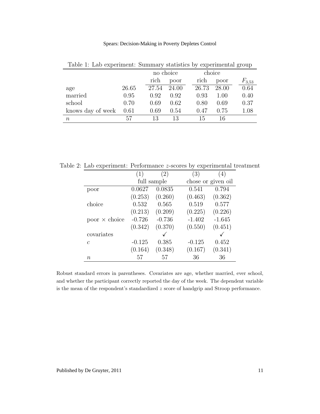Spears: Decision-Making in Poverty Depletes Control

| Table 1. Bab experiment. Duminary statistics by experimental group |       |           |       |       |        |            |  |  |
|--------------------------------------------------------------------|-------|-----------|-------|-------|--------|------------|--|--|
|                                                                    |       | no choice |       |       | choice |            |  |  |
|                                                                    |       | rich      | poor  | rich  | poor   | $F_{3,53}$ |  |  |
| age                                                                | 26.65 | 27.54     | 24.00 | 26.73 | 28.00  | 0.64       |  |  |
| married                                                            | 0.95  | 0.92      | 0.92  | 0.93  | 1.00   | 0.40       |  |  |
| school                                                             | 0.70  | 0.69      | 0.62  | 0.80  | 0.69   | 0.37       |  |  |
| knows day of week                                                  | 0.61  | 0.69      | 0.54  | 0.47  | 0.75   | 1.08       |  |  |
| $\, n$                                                             | 57    | 13        | 13    | 15    | 16     |            |  |  |

Table 1: Lab experiment: Summary statistics by experimental group

Table 2: Lab experiment: Performance z-scores by experimental treatment

|                      | (1)      | $\left( 2\right)$ | (3)      | (4)                |
|----------------------|----------|-------------------|----------|--------------------|
|                      |          | full sample       |          | chose or given oil |
| poor                 | 0.0627   | 0.0835            | 0.541    | 0.794              |
|                      | (0.253)  | (0.260)           | (0.463)  | (0.362)            |
| choice               | 0.532    | 0.565             | 0.519    | 0.577              |
|                      | (0.213)  | (0.209)           | (0.225)  | (0.226)            |
| poor $\times$ choice | $-0.726$ | $-0.736$          | $-1.402$ | $-1.645$           |
|                      | (0.342)  | (0.370)           | (0.550)  | (0.451)            |
| covariates           |          |                   |          |                    |
| $\mathcal{C}$        | $-0.125$ | 0.385             | $-0.125$ | 0.452              |
|                      | (0.164)  | (0.348)           | (0.167)  | (0.341)            |
| $\, n$               | 57       | 57                | 36       | 36                 |

Robust standard errors in parentheses. Covariates are age, whether married, ever school, and whether the participant correctly reported the day of the week. The dependent variable is the mean of the respondent's standardized  $z$  score of handgrip and Stroop performance.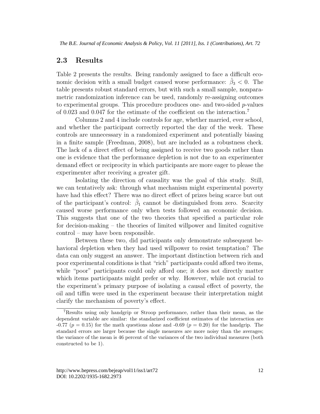# 2.3 Results

Table 2 presents the results. Being randomly assigned to face a difficult economic decision with a small budget caused worse performance:  $\hat{\beta}_3 < 0$ . The table presents robust standard errors, but with such a small sample, nonparametric randomization inference can be used, randomly re-assigning outcomes to experimental groups. This procedure produces one- and two-sided  $p$ -values of 0.023 and 0.047 for the estimate of the coefficient on the interaction.<sup>7</sup>

Columns 2 and 4 include controls for age, whether married, ever school, and whether the participant correctly reported the day of the week. These controls are unnecessary in a randomized experiment and potentially biasing in a finite sample (Freedman, 2008), but are included as a robustness check. The lack of a direct effect of being assigned to receive two goods rather than one is evidence that the performance depletion is not due to an experimenter demand effect or reciprocity in which participants are more eager to please the experimenter after receiving a greater gift.

Isolating the direction of causality was the goal of this study. Still, we can tentatively ask: through what mechanism might experimental poverty have had this effect? There was no direct effect of prizes being scarce but out of the participant's control:  $\hat{\beta}_1$  cannot be distinguished from zero. Scarcity caused worse performance only when tests followed an economic decision. This suggests that one of the two theories that specified a particular role for decision-making – the theories of limited willpower and limited cognitive control – may have been responsible.

Between these two, did participants only demonstrate subsequent behavioral depletion when they had used willpower to resist temptation? The data can only suggest an answer. The important distinction between rich and poor experimental conditions is that "rich" participants could afford two items, while "poor" participants could only afford one; it does not directly matter which items participants might prefer or why. However, while not crucial to the experiment's primary purpose of isolating a causal effect of poverty, the oil and tiffin were used in the experiment because their interpretation might clarify the mechanism of poverty's effect.

<sup>7</sup>Results using only handgrip or Stroop performance, rather than their mean, as the dependent variable are similar: the standarized coefficient estimates of the interaction are -0.77 ( $p = 0.15$ ) for the math questions alone and -0.69 ( $p = 0.20$ ) for the handgrip. The standard errors are larger because the single measures are more noisy than the averages; the variance of the mean is 46 percent of the variances of the two individual measures (both constructed to be 1).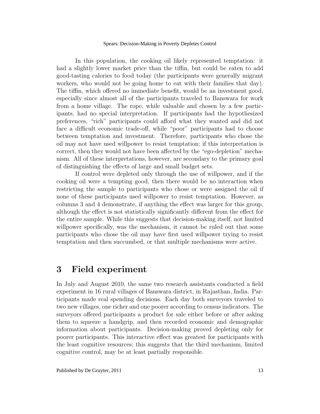In this population, the cooking oil likely represented temptation: it had a slightly lower market price than the tiffin, but could be eaten to add good-tasting calories to food today (the participants were generally migrant workers, who would not be going home to eat with their families that day). The tiffin, which offered no immediate benefit, would be an investment good, especially since almost all of the participants traveled to Banswara for work from a home village. The rope, while valuable and chosen by a few participants, had no special interpretation. If participants had the hypothesized preferences, "rich" participants could afford what they wanted and did not face a difficult economic trade-off, while "poor" participants had to choose between temptation and investment. Therefore, participants who chose the oil may not have used willpower to resist temptation; if this interpretation is correct, then they would not have been affected by the "ego-depletion" mechanism. All of these interpretations, however, are secondary to the primary goal of distinguishing the effects of large and small budget sets.

If control were depleted only through the use of willpower, and if the cooking oil were a tempting good, then there would be no interaction when restricting the sample to participants who chose or were assigned the oil if none of these participants used willpower to resist temptation. However, as columns 3 and 4 demonstrate, if anything the effect was larger for this group, although the effect is not statistically significantly different from the effect for the entire sample. While this suggests that decision-making itself, not limited willpower specifically, was the mechanism, it cannot be ruled out that some participants who chose the oil may have first used willpower trying to resist temptation and then succumbed, or that multiple mechanisms were active.

# 3 Field experiment

In July and August 2010, the same two research assistants conducted a field experiment in 16 rural villages of Banswara district, in Rajasthan, India. Participants made real spending decisions. Each day both surveyors traveled to two new villages, one richer and one poorer according to census indicators. The surveyors offered participants a product for sale either before or after asking them to squeeze a handgrip, and then recorded economic and demographic information about participants. Decision-making proved depleting only for poorer participants. This interactive effect was greatest for participants with the least cognitive resources; this suggests that the third mechanism, limited cognitive control, may be at least partially responsible.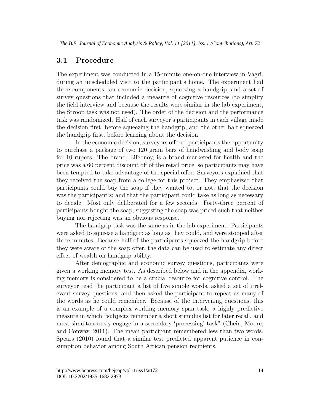# 3.1 Procedure

The experiment was conducted in a 15-minute one-on-one interview in Vagri, during an unscheduled visit to the participant's home. The experiment had three components: an economic decision, squeezing a handgrip, and a set of survey questions that included a measure of cognitive resources (to simplify the field interview and because the results were similar in the lab experiment, the Stroop task was not used). The order of the decision and the performance task was randomized. Half of each surveyor's participants in each village made the decision first, before squeezing the handgrip, and the other half squeezed the handgrip first, before learning about the decision.

In the economic decision, surveyors offered participants the opportunity to purchase a package of two 120 gram bars of handwashing and body soap for 10 rupees. The brand, Lifebuoy, is a brand marketed for health and the price was a 60 percent discount off of the retail price, so participants may have been tempted to take advantage of the special offer. Surveyors explained that they received the soap from a college for this project. They emphasized that participants could buy the soap if they wanted to, or not; that the decision was the participant's; and that the participant could take as long as necessary to decide. Most only deliberated for a few seconds. Forty-three percent of participants bought the soap, suggesting the soap was priced such that neither buying nor rejecting was an obvious response.

The handgrip task was the same as in the lab experiment. Participants were asked to squeeze a handgrip as long as they could, and were stopped after three minutes. Because half of the participants squeezed the handgrip before they were aware of the soap offer, the data can be used to estimate any direct effect of wealth on handgrip ability.

After demographic and economic survey questions, participants were given a working memory test. As described below and in the appendix, working memory is considered to be a crucial resource for cognitive control. The surveyor read the participant a list of five simple words, asked a set of irrelevant survey questions, and then asked the participant to repeat as many of the words as he could remember. Because of the intervening questions, this is an example of a complex working memory span task, a highly predictive measure in which "subjects remember a short stimulus list for later recall, and must simultaneously engage in a secondary 'processing' task" (Chein, Moore, and Conway, 2011). The mean participant remembered less than two words. Spears (2010) found that a similar test predicted apparent patience in consumption behavior among South African pension recipients.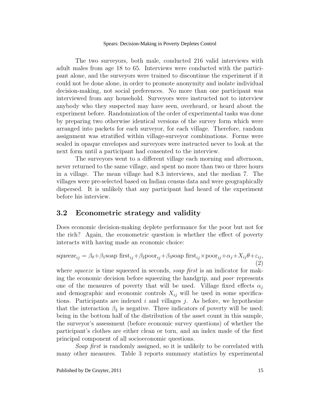The two surveyors, both male, conducted 216 valid interviews with adult males from age 18 to 65. Interviews were conducted with the participant alone, and the surveyors were trained to discontinue the experiment if it could not be done alone, in order to promote anonymity and isolate individual decision-making, not social preferences. No more than one participant was interviewed from any household. Surveyors were instructed not to interview anybody who they suspected may have seen, overheard, or heard about the experiment before. Randomization of the order of experimental tasks was done by preparing two otherwise identical versions of the survey form which were arranged into packets for each surveyor, for each village. Therefore, random assignment was stratified within village-surveyor combinations. Forms were sealed in opaque envelopes and surveyors were instructed never to look at the next form until a participant had consented to the interview.

The surveyors went to a different village each morning and afternoon, never returned to the same village, and spent no more than two or three hours in a village. The mean village had 8.3 interviews, and the median 7. The villages were pre-selected based on Indian census data and were geographically dispersed. It is unlikely that any participant had heard of the experiment before his interview.

## 3.2 Econometric strategy and validity

Does economic decision-making deplete performance for the poor but not for the rich? Again, the econometric question is whether the effect of poverty interacts with having made an economic choice:

$$
square_{ij} = \beta_0 + \beta_1 \text{soap first}_{ij} + \beta_2 \text{poor}_{ij} + \beta_3 \text{soap first}_{ij} \times \text{poor}_{ij} + \alpha_j + X_{ij}\theta + \varepsilon_{ij},
$$
\n(2)

where *squeeze* is time squeezed in seconds, *soap* first is an indicator for making the economic decision before squeezing the handgrip, and *poor* represents one of the measures of poverty that will be used. Village fixed effects  $\alpha_i$ and demographic and economic controls  $X_{ij}$  will be used in some specifications. Participants are indexed i and villages j. As before, we hypothesize that the interaction  $\beta_3$  is negative. Three indicators of poverty will be used: being in the bottom half of the distribution of the asset count in this sample, the surveyor's assessment (before economic survey questions) of whether the participant's clothes are either clean or torn, and an index made of the first principal component of all socioeconomic questions.

Soap first is randomly assigned, so it is unlikely to be correlated with many other measures. Table 3 reports summary statistics by experimental

Published by De Gruyter, 2011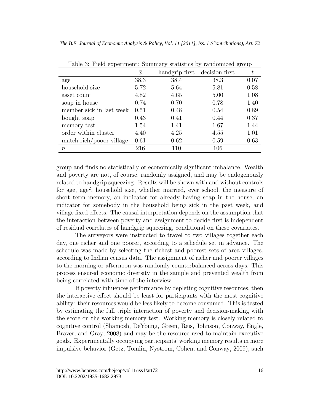|                          |           | $\cdot$        | $\cdot$<br>$\cup$ | <b>T</b> |
|--------------------------|-----------|----------------|-------------------|----------|
|                          | $\bar{x}$ | handgrip first | decision first    | t        |
| age                      | 38.3      | 38.4           | 38.3              | 0.07     |
| household size           | 5.72      | 5.64           | 5.81              | 0.58     |
| asset count              | 4.82      | 4.65           | 5.00              | 1.08     |
| soap in house            | 0.74      | 0.70           | 0.78              | 1.40     |
| member sick in last week | 0.51      | 0.48           | 0.54              | 0.89     |
| bought soap              | 0.43      | 0.41           | 0.44              | 0.37     |
| memory test              | 1.54      | 1.41           | 1.67              | 1.44     |
| order within cluster     | 4.40      | 4.25           | 4.55              | 1.01     |
| match rich/pooor village | 0.61      | 0.62           | 0.59              | 0.63     |
| $\it{n}$                 | 216       | 110            | 106               |          |

Table 3: Field experiment: Summary statistics by randomized group

group and finds no statistically or economically significant imbalance. Wealth and poverty are not, of course, randomly assigned, and may be endogenously related to handgrip squeezing. Results will be shown with and without controls for age, age<sup>2</sup> , household size, whether married, ever school, the measure of short term memory, an indicator for already having soap in the house, an indicator for somebody in the household being sick in the past week, and village fixed effects. The causal interpretation depends on the assumption that the interaction between poverty and assignment to decide first is independent of residual correlates of handgrip squeezing, conditional on these covariates.

The surveyors were instructed to travel to two villages together each day, one richer and one poorer, according to a schedule set in advance. The schedule was made by selecting the richest and poorest sets of area villages, according to Indian census data. The assignment of richer and poorer villages to the morning or afternoon was randomly counterbalanced across days. This process ensured economic diversity in the sample and prevented wealth from being correlated with time of the interview.

If poverty influences performance by depleting cognitive resources, then the interactive effect should be least for participants with the most cognitive ability: their resources would be less likely to become consumed. This is tested by estimating the full triple interaction of poverty and decision-making with the score on the working memory test. Working memory is closely related to cognitive control (Shamosh, DeYoung, Green, Reis, Johnson, Conway, Engle, Braver, and Gray, 2008) and may be the resource used to maintain executive goals. Experimentally occupying participants' working memory results in more impulsive behavior (Getz, Tomlin, Nystrom, Cohen, and Conway, 2009), such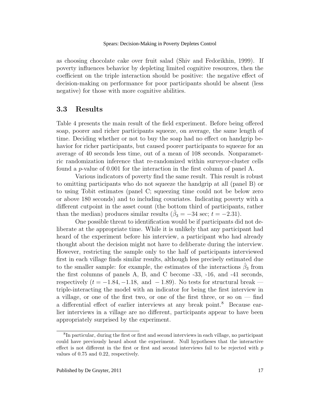as choosing chocolate cake over fruit salad (Shiv and Fedorikhin, 1999). If poverty influences behavior by depleting limited cognitive resources, then the coefficient on the triple interaction should be positive: the negative effect of decision-making on performance for poor participants should be absent (less negative) for those with more cognitive abilities.

### 3.3 Results

Table 4 presents the main result of the field experiment. Before being offered soap, poorer and richer participants squeeze, on average, the same length of time. Deciding whether or not to buy the soap had no effect on handgrip behavior for richer participants, but caused poorer participants to squeeze for an average of 40 seconds less time, out of a mean of 108 seconds. Nonparametric randomization inference that re-randomized within surveyor-cluster cells found a p-value of 0.001 for the interaction in the first column of panel A.

Various indicators of poverty find the same result. This result is robust to omitting participants who do not squeeze the handgrip at all (panel B) or to using Tobit estimates (panel C; squeezing time could not be below zero or above 180 seconds) and to including covariates. Indicating poverty with a different cutpoint in the asset count (the bottom third of participants, rather than the median) produces similar results  $(\hat{\beta}_3 = -34 \text{ sec}; t = -2.31)$ .

One possible threat to identification would be if participants did not deliberate at the appropriate time. While it is unlikely that any participant had heard of the experiment before his interview, a participant who had already thought about the decision might not have to deliberate during the interview. However, restricting the sample only to the half of participants interviewed first in each village finds similar results, although less precisely estimated due to the smaller sample: for example, the estimates of the interactions  $\hat{\beta}_3$  from the first columns of panels A, B, and C become -33, -16, and -41 seconds, respectively  $(t = -1.84, -1.18, \text{ and } -1.89)$ . No tests for structural break triple-interacting the model with an indicator for being the first interview in a village, or one of the first two, or one of the first three, or so on — find a differential effect of earlier interviews at any break point.<sup>8</sup> Because earlier interviews in a village are no different, participants appear to have been appropriately surprised by the experiment.

<sup>8</sup> In particular, during the first or first and second interviews in each village, no participant could have previously heard about the experiment. Null hypotheses that the interactive effect is not different in the first or first and second interviews fail to be rejected with  $p$ values of 0.75 and 0.22, respectively.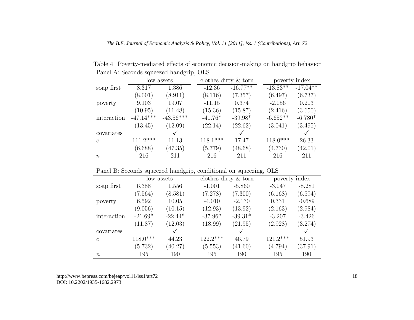| Panel A: Seconds squeezed handgrip, OLS |             |             |            |                         |               |            |  |  |  |
|-----------------------------------------|-------------|-------------|------------|-------------------------|---------------|------------|--|--|--|
|                                         |             | low assets  |            | clothes dirty $\&$ torn | poverty index |            |  |  |  |
| soap first                              | 8.317       | 1.386       | $-12.36$   | $-16.77**$              | $-13.83**$    | $-17.04**$ |  |  |  |
|                                         | (8.001)     | (8.911)     | (8.116)    | (7.357)                 | (6.497)       | (6.737)    |  |  |  |
| poverty                                 | 9.103       | 19.07       | $-11.15$   | 0.374                   | $-2.056$      | 0.203      |  |  |  |
|                                         | (10.95)     | (11.48)     | (15.36)    | (15.87)                 | (2.416)       | (3.650)    |  |  |  |
| interaction                             | $-47.14***$ | $-43.56***$ | $-41.76*$  | $-39.98*$               | $-6.652**$    | $-6.780*$  |  |  |  |
|                                         | (13.45)     | (12.09)     | (22.14)    | (22.62)                 | (3.041)       | (3.495)    |  |  |  |
| covariates                              |             |             |            |                         |               |            |  |  |  |
| $\mathcal{C}$                           | $111.2***$  | 11.13       | $118.1***$ | 17.47                   | $118.0***$    | 26.33      |  |  |  |
|                                         | (6.688)     | (47.35)     | (5.779)    | (48.68)                 | (4.730)       | (42.01)    |  |  |  |
| $\eta$                                  | 216         | 211         | 216        | 211                     | 216           | 211        |  |  |  |

Table 4: Poverty-mediated effects of economic decision-making on handgrip behavior Panel A: Seconds squeezed handgrip, OLS

Panel B: Seconds squeezed handgrip, conditional on squeezing, OLS

|             | low assets |           | clothes dirty $&$ torn |           | poverty index |          |
|-------------|------------|-----------|------------------------|-----------|---------------|----------|
| soap first  | 6.388      | 1.556     | $-1.001$               | $-5.860$  | $-3.047$      | $-8.281$ |
|             | (7.564)    | (8.581)   | (7.278)                | (7.300)   | (6.168)       | (6.594)  |
| poverty     | 6.592      | 10.05     | $-4.010$               | $-2.130$  | 0.331         | $-0.689$ |
|             | (9.056)    | (10.15)   | (12.93)                | (13.92)   | (2.163)       | (2.984)  |
| interaction | $-21.69*$  | $-22.44*$ | $-37.96*$              | $-39.31*$ | $-3.207$      | $-3.426$ |
|             | (11.87)    | (12.03)   | (18.99)                | (21.95)   | (2.928)       | (3.274)  |
| covariates  |            |           |                        |           |               |          |
| $\epsilon$  | $118.0***$ | 44.23     | $122.2***$             | 46.79     | $121.2***$    | 51.93    |
|             | (5.732)    | (40.27)   | (5.553)                | (41.60)   | (4.794)       | (37.91)  |
| $\,n$       | 195        | 190       | 195                    | 190       | 195           | 190      |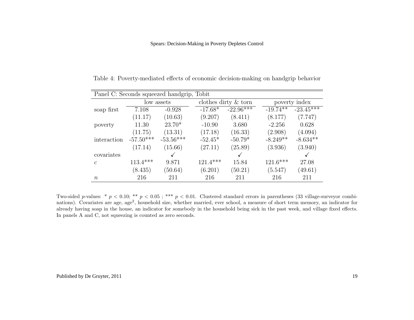| Panel C: Seconds squeezed handgrip, Tobit |             |             |            |                        |            |               |  |  |  |
|-------------------------------------------|-------------|-------------|------------|------------------------|------------|---------------|--|--|--|
|                                           |             | low assets  |            | clothes dirty $&$ torn |            | poverty index |  |  |  |
| soap first                                | 7.108       | $-0.928$    | $-17.68*$  | $-22.96***$            | $-19.74**$ | $-23.45***$   |  |  |  |
|                                           | (11.17)     | (10.63)     | (9.207)    | (8.411)                | (8.177)    | (7.747)       |  |  |  |
| poverty                                   | 11.30       | $23.70*$    | $-10.90$   | 3.680                  | $-2.256$   | 0.628         |  |  |  |
|                                           | (11.75)     | (13.31)     | (17.18)    | (16.33)                | (2.908)    | (4.094)       |  |  |  |
| interaction                               | $-57.50***$ | $-53.56***$ | $-52.45*$  | $-50.79*$              | $-8.249**$ | $-8.634**$    |  |  |  |
|                                           | (17.14)     | (15.66)     | (27.11)    | (25.89)                | (3.936)    | (3.940)       |  |  |  |
| covariates                                |             |             |            |                        |            |               |  |  |  |
| $\mathcal{C}$                             | $113.4***$  | 9.871       | $121.4***$ | 15.84                  | $121.6***$ | 27.08         |  |  |  |
|                                           | (8.435)     | (50.64)     | (6.201)    | (50.21)                | (5.547)    | (49.61)       |  |  |  |
| $\,n$                                     | 216         | 211         | 216        | 211                    | 216        | 211           |  |  |  |

Table 4: Poverty-mediated effects of economic decision-making on handgrip behavior

Two-sided p-values: \*  $p < 0.10$ ; \*\*  $p < 0.05$ ; \*\*\*  $p < 0.01$ . Clustered standard errors in parentheses (33 village-surveyor combinations). Covariates are age, age<sup>2</sup>, household size, whether married, ever school, a measure of short term memory, an indicator for already having soap in the house, an indicator for somebody in the household being sick in the past week, and village fixed effects.In panels A and C, not squeezing is counted as zero seconds.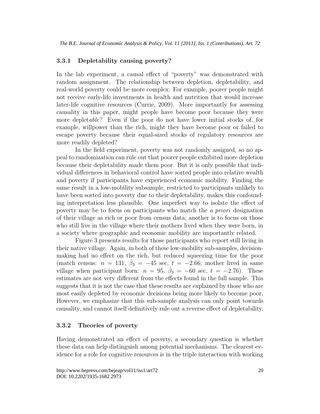#### 3.3.1 Depletability causing poverty?

In the lab experiment, a causal effect of "poverty" was demonstrated with random assignment. The relationship between depletion, depletability, and real-world poverty could be more complex. For example, poorer people might not receive early-life investments in health and nutrition that would increase later-life cognitive resources (Currie, 2009). More importantly for assessing causality in this paper, might people have become poor because they were more depletable? Even if the poor do not have lower initial stocks of, for example, willpower than the rich, might they have become poor or failed to escape poverty because their equal-sized stocks of regulatory resources are more readily depleted?

In the field experiment, poverty was not randomly assigned, so no appeal to randomization can rule out that poorer people exhibited more depletion because their depletability made them poor. But it is only possible that individual differences in behavioral control have sorted people into relative wealth and poverty if participants have experienced economic mobility. Finding the same result in a low-mobility subsample, restricted to participants unlikely to have been sorted into poverty due to their depletability, makes this confounding interpretation less plausible. One imperfect way to isolate the effect of poverty may be to focus on participants who match the a priori designation of their village as rich or poor from census data; another is to focus on those who still live in the village where their mothers lived when they were born, in a society where geographic and economic mobility are importantly related.

Figure 3 presents results for those participants who report still living in their native village. Again, in both of these low-mobility sub-samples, decisionmaking had no effect on the rich, but reduced squeezing time for the poor (match census:  $n = 131$ ,  $\hat{\beta}_3 = -45$  sec,  $t = -2.66$ ; mother lived in same village when participant born:  $n = 95$ ,  $\hat{\beta}_3 = -60$  sec,  $t = -2.76$ ). These estimates are not very different from the effects found in the full sample. This suggests that it is not the case that these results are explained by those who are most easily depleted by economic decisions being more likely to become poor. However, we emphasize that this sub-sample analysis can only point towards causality, and cannot itself definitively rule out a reverse effect of depletability.

#### 3.3.2 Theories of poverty

Having demonstrated an effect of poverty, a secondary question is whether these data can help distinguish among potential mechanisms. The clearest evidence for a role for cognitive resources is in the triple interaction with working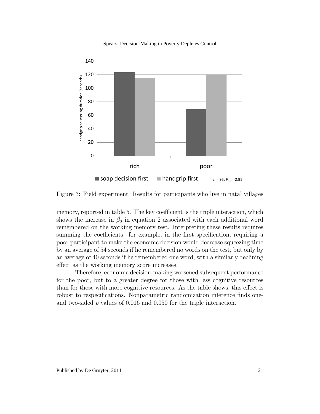

Figure 3: Field experiment: Results for participants who live in natal villages

memory, reported in table 5. The key coefficient is the triple interaction, which shows the increase in  $\hat{\beta}_3$  in equation 2 associated with each additional word remembered on the working memory test. Interpreting these results requires summing the coefficients: for example, in the first specification, requiring a poor participant to make the economic decision would decrease squeezing time by an average of 54 seconds if he remembered no words on the test, but only by an average of 40 seconds if he remembered one word, with a similarly declining effect as the working memory score increases.

Therefore, economic decision-making worsened subsequent performance for the poor, but to a greater degree for those with less cognitive resources than for those with more cognitive resources. As the table shows, this effect is robust to respecifications. Nonparametric randomization inference finds oneand two-sided p values of 0.016 and 0.050 for the triple interaction.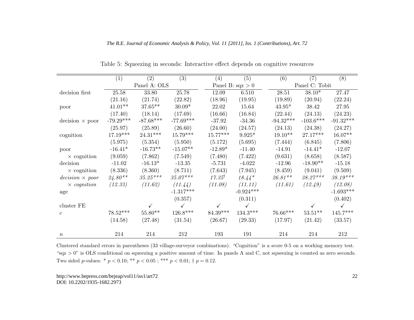|                                 | $\left( 1\right)$ | (2)          | (3)                    | (4)               | (5)                | (6)         | (7)            | (8)          |  |
|---------------------------------|-------------------|--------------|------------------------|-------------------|--------------------|-------------|----------------|--------------|--|
|                                 |                   | Panel A: OLS |                        |                   | Panel B: $sqz > 0$ |             | Panel C: Tobit |              |  |
| decision first                  | 25.58             | 33.80        | 25.78                  | 12.09             | 6.510              | 28.51       | $38.10*$       | 27.47        |  |
|                                 | (21.16)           | (21.74)      | (22.82)                | (18.96)           | (19.95)            | (19.89)     | (20.94)        | (22.24)      |  |
| poor                            | $41.01**$         | $37.65***$   | $30.09*$               | 22.02             | 15.64              | $43.95*$    | 38.42          | $27.95\,$    |  |
|                                 | (17.40)           | (18.14)      | (17.69)                | (16.66)           | (16.84)            | (22.44)     | (24.13)        | (24.23)      |  |
| $\alpha$ decision $\times$ poor | $-79.29***$       | $-87.68***$  | $-77.69***$            | $-37.92$          | $-34.36$           | $-94.32***$ | $-103.6***$    | $-91.32***$  |  |
|                                 | (25.97)           | (25.89)      | (26.60)                | (24.00)           | (24.57)            | (24.13)     | (24.38)        | (24.27)      |  |
| cognition                       | $17.19***$        | $24.31***$   | $15.79***$             | $15.77***$        | $9.925*$           | $19.10**$   | $27.17***$     | $16.07**$    |  |
|                                 | (5.975)           | (5.354)      | (5.950)                | (5.172)           | (5.695)            | (7.444)     | (6.845)        | (7.806)      |  |
| poor                            | $-16.41*$         | $-16.73**$   | $-15.07**$             | $-12.89*$         | $-11.40$           | $-14.91$    | $-14.41*$      | $-12.07$     |  |
| $\times$ cognition              | (9.059)           | (7.862)      | (7.549)                | (7.480)           | (7.422)            | (9.631)     | (8.658)        | (8.587)      |  |
| decision                        | $-11.02$          | $-16.13*$    | $-13.35$               | $-5.731$          | $-4.022$           | $-12.96$    | $-18.90**$     | $-15.18$     |  |
| $\times$ cognition              | (8.336)           | (8.360)      | (8.711)                | (7.643)           | (7.945)            | (8.459)     | (9.041)        | (9.509)      |  |
| $decision \times poor$          | $24.80**$         | $35.25***$   | $35.07***$             | $17.35^{\dagger}$ | $18.44*$           | $26.81**$   | $38.27***$     | $38.19***$   |  |
| $\times$ cognition              | (12.33)           | (11.62)      | (11.44)                | (11.08)           | (11.11)            | (11.61)     | (12.49)        | (12.08)      |  |
| age                             |                   |              | $-1.317***$            |                   | $-0.924***$        |             |                | $-1.693***$  |  |
|                                 |                   |              | (0.357)                |                   | (0.311)            |             |                | (0.402)      |  |
| cluster FE                      |                   |              | $\checkmark$           | $\checkmark$      | ✓                  |             | $\checkmark$   | $\checkmark$ |  |
| $\mathfrak{c}$                  | $78.52***$        | $55.80**$    | $126.8^{\ast\ast\ast}$ | $84.39***$        | $134.3***$         | 76.66***    | $53.51**$      | $145.7***$   |  |
|                                 | (14.58)           | (27.48)      | (31.54)                | (26.67)           | (29.33)            | (17.97)     | (21.42)        | (33.57)      |  |
| $\boldsymbol{n}$                | 214               | 214          | 212                    | 193               | 191                | 214         | 214            | 212          |  |

*The B.E. Journal of Economic Analysis & Policy, Vol. 11 [2011], Iss. 1 (Contributions), Art. 72*

Table 5: Squeezing in seconds: Interactive effect depends on cognitive resources

Clustered standard errors in parentheses (33 village-surveyor combinations). "Cognition" is <sup>a</sup> score 0-5 on <sup>a</sup> working memory test." $sqz > 0$ " is OLS conditional on squeezing a positive amount of time. In panels A and C, not squeezing is counted as zero seconds. Two sided *p*-values: \*  $p < 0.10$ ; \*\*  $p < 0.05$ ; \*\*\*  $p < 0.01$ ; †  $p = 0.12$ .

http://www.bepress.com/bejeap/vol11/iss1/art72DOI: 10.2202/1935-1682.2973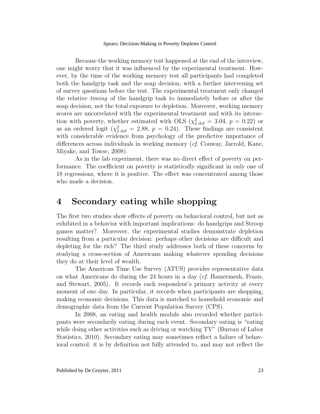Because the working memory test happened at the end of the interview, one might worry that it was influenced by the experimental treatment. However, by the time of the working memory test all participants had completed both the handgrip task and the soap decision, with a further intervening set of survey questions before the test. The experimental treatment only changed the relative timing of the handgrip task to immediately before or after the soap decision, not the total exposure to depletion. Moreover, working memory scores are uncorrelated with the experimental treatment and with its interaction with poverty, whether estimated with OLS ( $\chi^2_{2\text{ dof}} = 3.04$ ,  $p = 0.22$ ) or as an ordered logit ( $\chi^2_{2\text{ dof}} = 2.88, p = 0.24$ ). These findings are consistent with considerable evidence from psychology of the predictive importance of differences across individuals in working memory (cf. Conway, Jarrold, Kane, Miyake, and Towse, 2008).

As in the lab experiment, there was no direct effect of poverty on performance. The coefficient on poverty is statistically significant in only one of 18 regressions, where it is positive. The effect was concentrated among those who made a decision.

# 4 Secondary eating while shopping

The first two studies show effects of poverty on behavioral control, but not as exhibited in a behavior with important implications: do handgrips and Stroop games matter? Moreover, the experimental studies demonstrate depletion resulting from a particular decision: perhaps other decisions are difficult and depleting for the rich? The third study addresses both of these concerns by studying a cross-section of Americans making whatever spending decisions they do at their level of wealth.

The American Time Use Survey (ATUS) provides representative data on what Americans do during the 24 hours in a day  $(cf.$  Hamermesh, Frazis, and Stewart, 2005). It records each respondent's primary activity at every moment of one day. In particular, it records when participants are shopping, making economic decisions. This data is matched to household economic and demographic data from the Current Population Survey (CPS).

In 2008, an eating and health module also recorded whether participants were secondarily eating during each event. Secondary eating is "eating while doing other activities such as driving or watching TV" (Bureau of Labor Statistics, 2010). Secondary eating may sometimes reflect a failure of behavioral control: it is by definition not fully attended to, and may not reflect the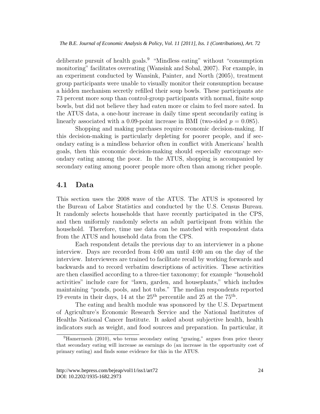deliberate pursuit of health goals.<sup>9</sup> "Mindless eating" without "consumption monitoring" facilitates overeating (Wansink and Sobal, 2007). For example, in an experiment conducted by Wansink, Painter, and North (2005), treatment group participants were unable to visually monitor their consumption because a hidden mechanism secretly refilled their soup bowls. These participants ate 73 percent more soup than control-group participants with normal, finite soup bowls, but did not believe they had eaten more or claim to feel more sated. In the ATUS data, a one-hour increase in daily time spent secondarily eating is linearly associated with a 0.09-point increase in BMI (two-sided  $p = 0.085$ ).

Shopping and making purchases require economic decision-making. If this decision-making is particularly depleting for poorer people, and if secondary eating is a mindless behavior often in conflict with Americans' health goals, then this economic decision-making should especially encourage secondary eating among the poor. In the ATUS, shopping is accompanied by secondary eating among poorer people more often than among richer people.

# 4.1 Data

This section uses the 2008 wave of the ATUS. The ATUS is sponsored by the Bureau of Labor Statistics and conducted by the U.S. Census Bureau. It randomly selects households that have recently participated in the CPS, and then uniformly randomly selects an adult participant from within the household. Therefore, time use data can be matched with respondent data from the ATUS and household data from the CPS.

Each respondent details the previous day to an interviewer in a phone interview. Days are recorded from 4:00 am until 4:00 am on the day of the interview. Interviewers are trained to facilitate recall by working forwards and backwards and to record verbatim descriptions of activities. These activities are then classified according to a three-tier taxonomy; for example "household activities" include care for "lawn, garden, and houseplants," which includes maintaining "ponds, pools, and hot tubs." The median respondents reported 19 events in their days, 14 at the  $25<sup>th</sup>$  percentile and 25 at the  $75<sup>th</sup>$ .

The eating and health module was sponsored by the U.S. Department of Agriculture's Economic Research Service and the National Institutes of Healths National Cancer Institute. It asked about subjective health, health indicators such as weight, and food sources and preparation. In particular, it

<sup>9</sup>Hamermesh (2010), who terms secondary eating "grazing," argues from price theory that secondary eating will increase as earnings do (an increase in the opportunity cost of primary eating) and finds some evidence for this in the ATUS.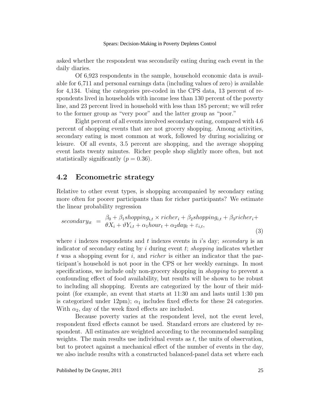asked whether the respondent was secondarily eating during each event in the daily diaries.

Of 6,923 respondents in the sample, household economic data is available for 6,711 and personal earnings data (including values of zero) is available for 4,134. Using the categories pre-coded in the CPS data, 13 percent of respondents lived in households with income less than 130 percent of the poverty line, and 23 percent lived in household with less than 185 percent; we will refer to the former group as "very poor" and the latter group as "poor."

Eight percent of all events involved secondary eating, compared with 4.6 percent of shopping events that are not grocery shopping. Among activities, secondary eating is most common at work, followed by during socializing or leisure. Of all events, 3.5 percent are shopping, and the average shopping event lasts twenty minutes. Richer people shop slightly more often, but not statistically significantly  $(p = 0.36)$ .

### 4.2 Econometric strategy

Relative to other event types, is shopping accompanied by secondary eating more often for poorer participants than for richer participants? We estimate the linear probability regression

$$
secondary_{it} = \frac{\beta_0 + \beta_1 shopping_{i,t} \times richer_i + \beta_2 shopping_{i,t} + \beta_3 richer_i +}{\theta X_i + \theta Y_{i,t} + \alpha_1 hour_t + \alpha_2 day_t + \varepsilon_{i,t},}
$$
\n(3)

where i indexes respondents and t indexes events in i's day; secondary is an indicator of secondary eating by i during event  $t$ ; shopping indicates whether t was a shopping event for i, and *richer* is either an indicator that the participant's household is not poor in the CPS or her weekly earnings. In most specifications, we include only non-grocery shopping in *shopping* to prevent a confounding effect of food availability, but results will be shown to be robust to including all shopping. Events are categorized by the hour of their midpoint (for example, an event that starts at 11:30 am and lasts until 1:30 pm is categorized under 12pm);  $\alpha_1$  includes fixed effects for these 24 categories. With  $\alpha_2$ , day of the week fixed effects are included.

Because poverty varies at the respondent level, not the event level, respondent fixed effects cannot be used. Standard errors are clustered by respondent. All estimates are weighted according to the recommended sampling weights. The main results use individual events as  $t$ , the units of observation, but to protect against a mechanical effect of the number of events in the day, we also include results with a constructed balanced-panel data set where each

Published by De Gruyter, 2011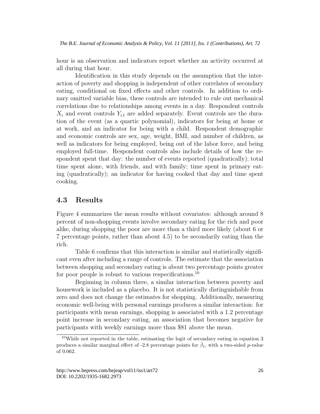hour is an observation and indicators report whether an activity occurred at all during that hour.

Identification in this study depends on the assumption that the interaction of poverty and shopping is independent of other correlates of secondary eating, conditional on fixed effects and other controls. In addition to ordinary omitted variable bias, these controls are intended to rule out mechanical correlations due to relationships among events in a day. Respondent controls  $X_i$  and event controls  $Y_{i,t}$  are added separately. Event controls are the duration of the event (as a quartic polynomial), indicators for being at home or at work, and an indicator for being with a child. Respondent demographic and economic controls are sex, age, weight, BMI, and number of children, as well as indicators for being employed, being out of the labor force, and being employed full-time. Respondent controls also include details of how the respondent spent that day: the number of events reported (quadratically); total time spent alone, with friends, and with family; time spent in primary eating (quadratically); an indicator for having cooked that day and time spent cooking.

## 4.3 Results

Figure 4 summarizes the mean results without covariates: although around 8 percent of non-shopping events involve secondary eating for the rich and poor alike, during shopping the poor are more than a third more likely (about 6 or 7 percentage points, rather than about 4.5) to be secondarily eating than the rich.

Table 6 confirms that this interaction is similar and statistically significant even after including a range of controls. The estimate that the association between shopping and secondary eating is about two percentage points greater for poor people is robust to various respecifications.<sup>10</sup>

Beginning in column three, a similar interaction between poverty and housework is included as a placebo. It is not statistically distinguishable from zero and does not change the estimates for shopping. Additionally, measuring economic well-being with personal earnings produces a similar interaction: for participants with mean earnings, shopping is associated with a 1.2 percentage point increase in secondary eating, an association that becomes negative for participants with weekly earnings more than \$81 above the mean.

<sup>&</sup>lt;sup>10</sup>While not reported in the table, estimating the logit of secondary eating in equation 3 produces a similar marginal effect of -2.8 percentage points for  $\hat{\beta}_1$ , with a two-sided p-value of 0.062.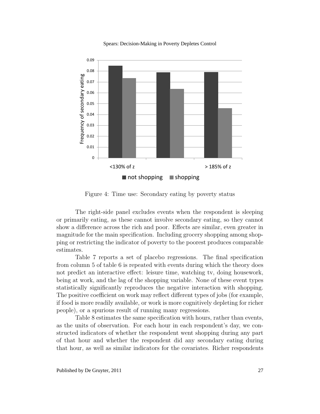

Figure 4: Time use: Secondary eating by poverty status

The right-side panel excludes events when the respondent is sleeping or primarily eating, as these cannot involve secondary eating, so they cannot show a difference across the rich and poor. Effects are similar, even greater in magnitude for the main specification. Including grocery shopping among shopping or restricting the indicator of poverty to the poorest produces comparable estimates.

Table 7 reports a set of placebo regressions. The final specification from column 5 of table 6 is repeated with events during which the theory does not predict an interactive effect: leisure time, watching tv, doing housework, being at work, and the lag of the shopping variable. None of these event types statistically significantly reproduces the negative interaction with shopping. The positive coefficient on work may reflect different types of jobs (for example, if food is more readily available, or work is more cognitively depleting for richer people), or a spurious result of running many regressions.

Table 8 estimates the same specification with hours, rather than events, as the units of observation. For each hour in each respondent's day, we constructed indicators of whether the respondent went shopping during any part of that hour and whether the respondent did any secondary eating during that hour, as well as similar indicators for the covariates. Richer respondents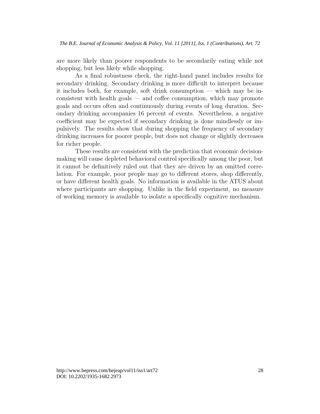are more likely than poorer respondents to be secondarily eating while not shopping, but less likely while shopping.

As a final robustness check, the right-hand panel includes results for secondary drinking. Secondary drinking is more difficult to interpret because it includes both, for example, soft drink consumption — which may be inconsistent with health goals — and coffee consumption, which may promote goals and occurs often and continuously during events of long duration. Secondary drinking accompanies 16 percent of events. Nevertheless, a negative coefficient may be expected if secondary drinking is done mindlessly or impulsively. The results show that during shopping the frequency of secondary drinking increases for poorer people, but does not change or slightly decreases for richer people.

These results are consistent with the prediction that economic decisionmaking will cause depleted behavioral control specifically among the poor, but it cannot be definitively ruled out that they are driven by an omitted correlation. For example, poor people may go to different stores, shop differently, or have different health goals. No information is available in the ATUS about where participants are shopping. Unlike in the field experiment, no measure of working memory is available to isolate a specifically cognitive mechanism.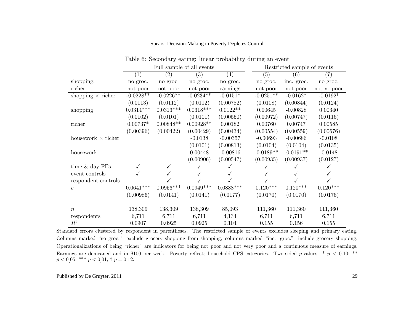| Table 0. Decontrary catting. Initial probability during an event |             |             |                           |             |                             |             |                     |  |
|------------------------------------------------------------------|-------------|-------------|---------------------------|-------------|-----------------------------|-------------|---------------------|--|
|                                                                  |             |             | Full sample of all events |             | Restricted sample of events |             |                     |  |
|                                                                  | (1)         | (2)         | (3)                       | (4)         | (5)                         | (6)         | (7)                 |  |
| shopping:                                                        | no groc.    | no groc.    | no groc.                  | no groc.    | no groc.                    | inc. groc.  | no groc.            |  |
| richer:                                                          | not poor    | not poor    | not poor                  | earnings    | not poor                    | not poor    | not v. poor         |  |
| shopping $\times$ richer                                         | $-0.0228**$ | $-0.0226**$ | $-0.0234**$               | $-0.0151*$  | $-0.0251**$                 | $-0.0162*$  | $-0.0192^{\dagger}$ |  |
|                                                                  | (0.0113)    | (0.0112)    | (0.0112)                  | (0.00782)   | (0.0108)                    | (0.00844)   | (0.0124)            |  |
| shopping                                                         | $0.0314***$ | $0.0313***$ | $0.0318***$               | $0.0122**$  | 0.00645                     | $-0.00828$  | 0.00340             |  |
|                                                                  | (0.0102)    | (0.0101)    | (0.0101)                  | (0.00550)   | (0.00972)                   | (0.00747)   | (0.0116)            |  |
| richer                                                           | $0.00737*$  | $0.00848**$ | $0.00928**$               | 0.00182     | 0.00760                     | 0.00747     | 0.00585             |  |
|                                                                  | (0.00396)   | (0.00422)   | (0.00429)                 | (0.00434)   | (0.00554)                   | (0.00559)   | (0.00676)           |  |
| housework $\times$ richer                                        |             |             | $-0.0138$                 | $-0.00357$  | $-0.00693$                  | $-0.00686$  | $-0.0108$           |  |
|                                                                  |             |             | (0.0101)                  | (0.00813)   | (0.0104)                    | (0.0104)    | (0.0135)            |  |
| housework                                                        |             |             | 0.00448                   | $-0.00816$  | $-0.0189**$                 | $-0.0191**$ | $-0.0148$           |  |
|                                                                  |             |             | (0.00906)                 | (0.00547)   | (0.00935)                   | (0.00937)   | (0.0127)            |  |
| time $\&$ day FEs                                                |             |             | ✓                         |             |                             |             |                     |  |
| event controls                                                   |             |             |                           |             |                             |             |                     |  |
| respondent controls                                              |             |             |                           |             |                             |             |                     |  |
| $\boldsymbol{c}$                                                 | $0.0641***$ | $0.0956***$ | $0.0949***$               | $0.0888***$ | $0.120***$                  | $0.120***$  | $0.120***$          |  |
|                                                                  | (0.00986)   | (0.0141)    | (0.0141)                  | (0.0177)    | (0.0170)                    | (0.0170)    | (0.0176)            |  |
|                                                                  |             |             |                           |             |                             |             |                     |  |
| $\boldsymbol{n}$                                                 | 138,309     | 138,309     | 138,309                   | 85,093      | 111,360                     | 111,360     | 111,360             |  |
| respondents                                                      | 6,711       | 6,711       | 6,711                     | 4,134       | 6,711                       | 6,711       | 6,711               |  |
| $R^2$                                                            | 0.0907      | 0.0925      | 0.0925                    | 0.104       | 0.155                       | 0.156       | 0.155               |  |

Spears: Decision-Making in Poverty Depletes Control

Table 6: Secondary eating: linear probability during an event

 Standard errors clustered by respondent in parentheses. The restricted sample of events excludes sleeping and primary eating.Columns marked "no groc." exclude grocery shopping from shopping; columns marked "inc. groc." include grocery shopping.Operationalizations of being "richer" are indicators for being not poor and not very poor and <sup>a</sup> continuous measure of earnings.Earnings are demeaned and in \$100 per week. Poverty reflects household CPS categories. Two-sided p-values: \*  $p < 0.10$ ; \*\*<br> $n < 0.05$ ; \*\*\*  $n < 0.01$ ; \*  $n = 0.12$  $p < 0.05$ ; \*\*\*  $p < 0.01$ ; †  $p = 0.12$ .

#### Published by De Gruyter, 2011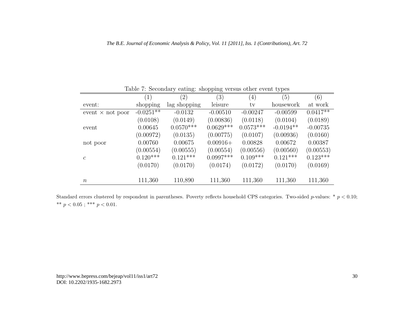|                         | rapio 1. poconada y cading. propping verbab odner event types |              |             |             |                  |            |  |  |
|-------------------------|---------------------------------------------------------------|--------------|-------------|-------------|------------------|------------|--|--|
|                         |                                                               | (2)          | (3)         | (4)         | $\left(5\right)$ | (6)        |  |  |
| event:                  | shopping                                                      | lag shopping | leisure     | tv          | housework        | at work    |  |  |
| event $\times$ not poor | $-0.0251**$                                                   | $-0.0132$    | $-0.00510$  | $-0.00247$  | $-0.00599$       | $0.0417**$ |  |  |
|                         | (0.0108)                                                      | (0.0149)     | (0.00836)   | (0.0118)    | (0.0104)         | (0.0189)   |  |  |
| event                   | 0.00645                                                       | $0.0570***$  | $0.0629***$ | $0.0573***$ | $-0.0194**$      | $-0.00735$ |  |  |
|                         | (0.00972)                                                     | (0.0135)     | (0.00775)   | (0.0107)    | (0.00936)        | (0.0160)   |  |  |
| not poor                | 0.00760                                                       | 0.00675      | $0.00916+$  | 0.00828     | 0.00672          | 0.00387    |  |  |
|                         | (0.00554)                                                     | (0.00555)    | (0.00554)   | (0.00556)   | (0.00560)        | (0.00553)  |  |  |
| $\mathcal{C}$           | $0.120***$                                                    | $0.121***$   | $0.0997***$ | $0.109***$  | $0.121***$       | $0.123***$ |  |  |
|                         | (0.0170)                                                      | (0.0170)     | (0.0174)    | (0.0172)    | (0.0170)         | (0.0169)   |  |  |
|                         |                                                               |              |             |             |                  |            |  |  |
| $\boldsymbol{n}$        | 111,360                                                       | 110,890      | 111,360     | 111,360     | 111,360          | 111,360    |  |  |

Table 7: Secondary eating: shopping versus other event types

Standard errors clustered by respondent in parentheses. Poverty reflects household CPS categories. Two-sided p-values: \*  $p < 0.10$ ; \*\*  $p < 0.05$ ; \*\*\*  $p < 0.01$ .

http://www.bepress.com/bejeap/vol11/iss1/art72DOI: 10.2202/1935-1682.2973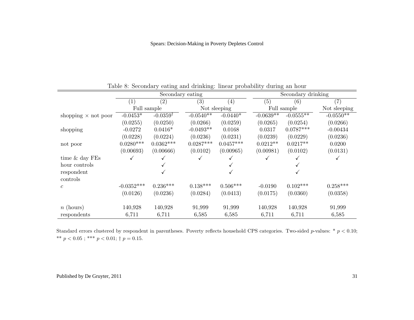| Table 6. Decondary earing and drinking. Intear probability during an hour |              |                     |                        |              |              |                    |              |  |
|---------------------------------------------------------------------------|--------------|---------------------|------------------------|--------------|--------------|--------------------|--------------|--|
|                                                                           |              | Secondary eating    |                        |              |              | Secondary drinking |              |  |
|                                                                           | (1)          | $\left( 2\right)$   | $\left( 3\right)$      | (4)          | (5)          | (6)                | (7)          |  |
|                                                                           |              | Full sample         |                        | Not sleeping |              | Full sample        | Not sleeping |  |
| shopping $\times$ not poor                                                | $-0.0453*$   | $-0.0359^{\dagger}$ | $-0.05\overline{40**}$ | $-0.0440*$   | $-0.0639$ ** | $-0.0555**$        | $-0.0550**$  |  |
|                                                                           | (0.0255)     | (0.0250)            | (0.0266)               | (0.0259)     | (0.0265)     | (0.0254)           | (0.0266)     |  |
| shopping                                                                  | $-0.0272$    | $0.0416*$           | $-0.0493**$            | 0.0168       | 0.0317       | $0.0787***$        | $-0.00434$   |  |
|                                                                           | (0.0228)     | (0.0224)            | (0.0236)               | (0.0231)     | (0.0239)     | (0.0229)           | (0.0236)     |  |
| not poor                                                                  | $0.0280***$  | $0.0362***$         | $0.0287***$            | $0.0457***$  | $0.0212**$   | $0.0217**$         | 0.0200       |  |
|                                                                           | (0.00693)    | (0.00666)           | (0.0102)               | (0.00965)    | (0.00981)    | (0.0102)           | (0.0131)     |  |
| time & day FEs                                                            |              |                     |                        |              | $\checkmark$ |                    |              |  |
| hour controls                                                             |              |                     |                        |              |              |                    |              |  |
| respondent                                                                |              |                     |                        |              |              |                    |              |  |
| controls                                                                  |              |                     |                        |              |              |                    |              |  |
| $\boldsymbol{c}$                                                          | $-0.0352***$ | $0.236***$          | $0.138***$             | $0.506***$   | $-0.0190$    | $0.102***$         | $0.258***$   |  |
|                                                                           | (0.0126)     | (0.0236)            | (0.0284)               | (0.0413)     | (0.0175)     | (0.0360)           | (0.0358)     |  |
| $n \text{ (hours)}$                                                       | 140,928      | 140,928             | 91,999                 | 91,999       | 140,928      | 140,928            | 91,999       |  |
| respondents                                                               | 6,711        | 6,711               | 6,585                  | 6,585        | 6,711        | 6,711              | 6,585        |  |

Table 8: Secondary eating and drinking: linear probability during an hour

Standard errors clustered by respondent in parentheses. Poverty reflects household CPS categories. Two-sided p-values: \*  $p < 0.10$ ; \*\*  $p < 0.05$ ; \*\*\*  $p < 0.01$ ; †  $p = 0.15$ .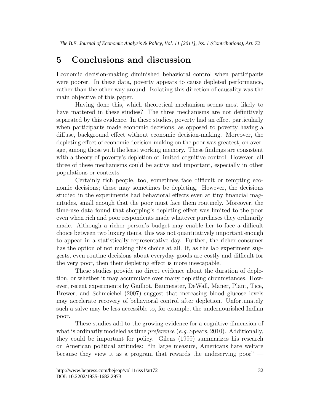# 5 Conclusions and discussion

Economic decision-making diminished behavioral control when participants were poorer. In these data, poverty appears to cause depleted performance, rather than the other way around. Isolating this direction of causality was the main objective of this paper.

Having done this, which theoretical mechanism seems most likely to have mattered in these studies? The three mechanisms are not definitively separated by this evidence. In these studies, poverty had an effect particularly when participants made economic decisions, as opposed to poverty having a diffuse, background effect without economic decision-making. Moreover, the depleting effect of economic decision-making on the poor was greatest, on average, among those with the least working memory. These findings are consistent with a theory of poverty's depletion of limited cognitive control. However, all three of these mechanisms could be active and important, especially in other populations or contexts.

Certainly rich people, too, sometimes face difficult or tempting economic decisions; these may sometimes be depleting. However, the decisions studied in the experiments had behavioral effects even at tiny financial magnitudes, small enough that the poor must face them routinely. Moreover, the time-use data found that shopping's depleting effect was limited to the poor even when rich and poor respondents made whatever purchases they ordinarily made. Although a richer person's budget may enable her to face a difficult choice between two luxury items, this was not quantitatively important enough to appear in a statistically representative day. Further, the richer consumer has the option of not making this choice at all. If, as the lab experiment suggests, even routine decisions about everyday goods are costly and difficult for the very poor, then their depleting effect is more inescapable.

These studies provide no direct evidence about the duration of depletion, or whether it may accumulate over many depleting circumstances. However, recent experiments by Gailliot, Baumeister, DeWall, Maner, Plant, Tice, Brewer, and Schmeichel (2007) suggest that increasing blood glucose levels may accelerate recovery of behavioral control after depletion. Unfortunately such a salve may be less accessible to, for example, the undernourished Indian poor.

These studies add to the growing evidence for a cognitive dimension of what is ordinarily modeled as time *preference* (*e.g.* Spears, 2010). Additionally, they could be important for policy. Gilens (1999) summarizes his research on American political attitudes: "In large measure, Americans hate welfare because they view it as a program that rewards the undeserving poor" —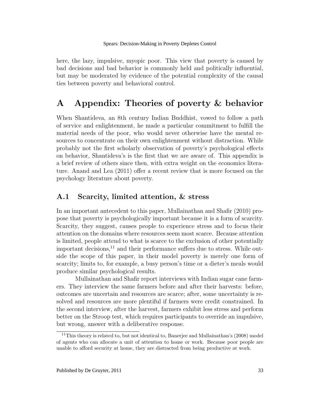here, the lazy, impulsive, myopic poor. This view that poverty is caused by bad decisions and bad behavior is commonly held and politically influential, but may be moderated by evidence of the potential complexity of the causal ties between poverty and behavioral control.

# A Appendix: Theories of poverty & behavior

When Shantideva, an 8th century Indian Buddhist, vowed to follow a path of service and enlightenment, he made a particular commitment to fulfill the material needs of the poor, who would never otherwise have the mental resources to concentrate on their own enlightenment without distraction. While probably not the first scholarly observation of poverty's psychological effects on behavior, Shantideva's is the first that we are aware of. This appendix is a brief review of others since then, with extra weight on the economics literature. Anand and Lea (2011) offer a recent review that is more focused on the psychology literature about poverty.

# A.1 Scarcity, limited attention, & stress

In an important antecedent to this paper, Mullainathan and Shafir (2010) propose that poverty is psychologically important because it is a form of scarcity. Scarcity, they suggest, causes people to experience stress and to focus their attention on the domains where resources seem most scarce. Because attention is limited, people attend to what is scarce to the exclusion of other potentially important decisions,  $11$  and their performance suffers due to stress. While outside the scope of this paper, in their model poverty is merely one form of scarcity; limits to, for example, a busy person's time or a dieter's meals would produce similar psychological results.

Mullainathan and Shafir report interviews with Indian sugar cane farmers. They interview the same farmers before and after their harvests: before, outcomes are uncertain and resources are scarce; after, some uncertainty is resolved and resources are more plentiful if farmers were credit constrained. In the second interview, after the harvest, farmers exhibit less stress and perform better on the Stroop test, which requires participants to override an impulsive, but wrong, answer with a deliberative response.

<sup>11</sup>This theory is related to, but not identical to, Banerjee and Mullainathan's (2008) model of agents who can allocate a unit of attention to home or work. Because poor people are unable to afford security at home, they are distracted from being productive at work.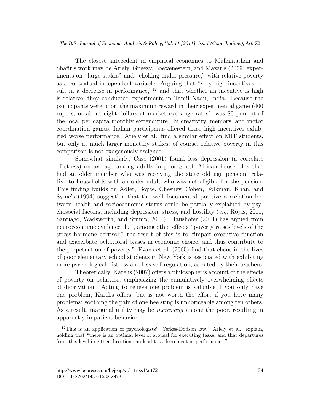The closest antecedent in empirical economics to Mullainathan and Shafir's work may be Ariely, Gneezy, Loewenestein, and Mazar's (2009) experiments on "large stakes" and "choking under pressure," with relative poverty as a contextual independent variable. Arguing that "very high incentives result in a decrease in performance,"<sup>12</sup> and that whether an incentive is high is relative, they conducted experiments in Tamil Nadu, India. Because the participants were poor, the maximum reward in their experimental game (400 rupees, or about eight dollars at market exchange rates), was 80 percent of the local per capita monthly expenditure. In creativity, memory, and motor coordination games, Indian participants offered these high incentives exhibited worse performance. Ariely et al. find a similar effect on MIT students, but only at much larger monetary stakes; of course, relative poverty in this comparison is not exogenously assigned.

Somewhat similarly, Case (2001) found less depression (a correlate of stress) on average among adults in poor South African households that had an older member who was receiving the state old age pension, relative to households with an older adult who was not eligible for the pension. This finding builds on Adler, Boyce, Chesney, Cohen, Folkman, Khan, and Syme's (1994) suggestion that the well-documented positive correlation between health and socioeconomic status could be partially explained by psychosocial factors, including depression, stress, and hostility (e.g. Rojas, 2011, Santiago, Wadsworth, and Stump, 2011). Haushofer (2011) has argued from neuroeconomic evidence that, among other effects "poverty raises levels of the stress hormone cortisol;" the result of this is to "impair executive function and exacerbate behavioral biases in economic choice, and thus contribute to the perpetuation of poverty." Evans et al. (2005) find that chaos in the lives of poor elementary school students in New York is associated with exhibiting more psychological distress and less self-regulation, as rated by their teachers.

Theoretically, Karelis (2007) offers a philosopher's account of the effects of poverty on behavior, emphasizing the cumulatively overwhelming effects of deprivation. Acting to relieve one problem is valuable if you only have one problem, Karelis offers, but is not worth the effort if you have many problems: soothing the pain of one bee sting is unnoticeable among ten others. As a result, marginal utility may be increasing among the poor, resulting in apparently impatient behavior.

<sup>&</sup>lt;sup>12</sup>This is an application of psychologists' "Yerkes-Dodson law," Ariely et al. explain, holding that "there is an optimal level of arousal for executing tasks, and that departures from this level in either direction can lead to a decrement in performance."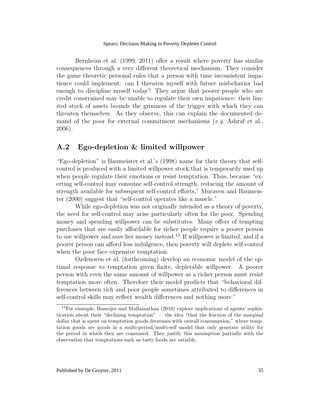Bernheim et al. (1999, 2011) offer a result where poverty has similar consequences through a very different theoretical mechanism. They consider the game theoretic personal rules that a person with time inconsistent impatience could implement: can I threaten myself with future misbehavior bad enough to discipline myself today? They argue that poorer people who are credit constrained may be unable to regulate their own impatience: their limited stock of assets bounds the grimness of the trigger with which they can threaten themselves. As they observe, this can explain the documented demand of the poor for external commitment mechanisms  $(e,q)$ . Ashraf et al., 2006).

## A.2 Ego-depletion & limited willpower

"Ego-depletion" is Baumeister et al.'s (1998) name for their theory that selfcontrol is produced with a limited willpower stock that is temporarily used up when people regulate their emotions or resist temptation. Thus, because "exerting self-control may consume self-control strength, reducing the amount of strength available for subsequent self-control efforts," Muraven and Baumeister (2000) suggest that "self-control operates like a muscle."

While ego-depletion was not originally intended as a theory of poverty, the need for self-control may arise particularly often for the poor. Spending money and spending willpower can be substitutes. Many offers of tempting purchases that are easily affordable for richer people require a poorer person to use willpower and save her money instead.<sup>13</sup> If willpower is limited, and if a poorer person can afford less indulgence, then poverty will deplete self-control when the poor face expensive temptation.

Ozdenoren et al. (forthcoming) develop an economic model of the optimal response to temptation given finite, depletable willpower. A poorer person with even the same amount of willpower as a richer person must resist temptation more often. Therefore their model predicts that "behavioral differences between rich and poor people sometimes attributed to differences in self-control skills may reflect wealth differences and nothing more."

<sup>13</sup>For example, Banerjee and Mullainathan (2010) explore implications of agents' sophistication about their "declining temptation" — the idea "that the fraction of the marginal dollar that is spent on temptation goods decreases with overall consumption," where temptation goods are goods in a multi-period/multi-self model that only generate utility for the period in which they are consumed. They justify this assumption partially with the observation that temptations such as tasty foods are satiable.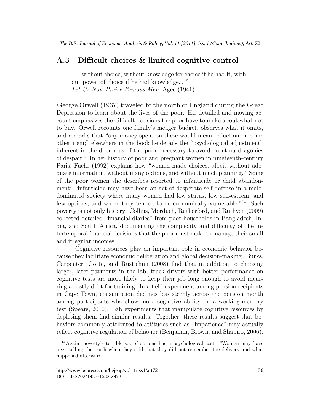# A.3 Difficult choices & limited cognitive control

". . .without choice, without knowledge for choice if he had it, without power of choice if he had knowledge. . ." Let Us Now Praise Famous Men, Agee (1941)

George Orwell (1937) traveled to the north of England during the Great Depression to learn about the lives of the poor. His detailed and moving account emphasizes the difficult decisions the poor have to make about what not to buy. Orwell recounts one family's meager budget, observes what it omits, and remarks that "any money spent on these would mean reduction on some other item;" elsewhere in the book he details the "psychological adjustment" inherent in the dilemmas of the poor, necessary to avoid "continued agonies of despair." In her history of poor and pregnant women in nineteenth-century Paris, Fuchs (1992) explains how "women made choices, albeit without adequate information, without many options, and without much planning." Some of the poor women she describes resorted to infanticide or child abandonment: "infanticide may have been an act of desperate self-defense in a maledominated society where many women had low status, low self-esteem, and few options, and where they tended to be economically vulnerable."<sup>14</sup> Such poverty is not only history: Collins, Morduch, Rutherford, and Ruthven (2009) collected detailed "financial diaries" from poor households in Bangladesh, India, and South Africa, documenting the complexity and difficulty of the intertemporal financial decisions that the poor must make to manage their small and irregular incomes.

Cognitive resources play an important role in economic behavior because they facilitate economic deliberation and global decision-making. Burks, Carpenter, Götte, and Rustichini (2008) find that in addition to choosing larger, later payments in the lab, truck drivers with better performance on cognitive tests are more likely to keep their job long enough to avoid incurring a costly debt for training. In a field experiment among pension recipients in Cape Town, consumption declines less steeply across the pension month among participants who show more cognitive ability on a working-memory test (Spears, 2010). Lab experiments that manipulate cognitive resources by depleting them find similar results. Together, these results suggest that behaviors commonly attributed to attitudes such as "impatience" may actually reflect cognitive regulation of behavior (Benjamin, Brown, and Shapiro, 2006).

<sup>14</sup>Again, poverty's terrible set of options has a psychological cost: "Women may have been telling the truth when they said that they did not remember the delivery and what happened afterward."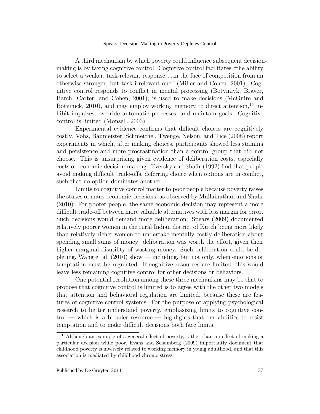A third mechanism by which poverty could influence subsequent decisionmaking is by taxing cognitive control. Cognitive control facilitates "the ability to select a weaker, task-relevant response. . . in the face of competition from an otherwise stronger, but task-irrelevant one" (Miller and Cohen, 2001). Cognitive control responds to conflict in mental processing (Botvinivk, Braver, Barch, Carter, and Cohen, 2001), is used to make decisions (McGuire and Botvinick, 2010), and may employ working memory to direct attention,  $15$  inhibit impulses, override automatic processes, and maintain goals. Cognitive control is limited (Monsell, 2003).

Experimental evidence confirms that difficult choices are cognitively costly. Vohs, Baumeister, Schmeichel, Twenge, Nelson, and Tice (2008) report experiments in which, after making choices, participants showed less stamina and persistence and more procrastination than a control group that did not choose. This is unsurprising given evidence of deliberation costs, especially costs of economic decision-making. Tversky and Shafir (1992) find that people avoid making difficult trade-offs, deferring choice when options are in conflict, such that no option dominates another.

Limits to cognitive control matter to poor people because poverty raises the stakes of many economic decisions, as observed by Mullainathan and Shafir (2010). For poorer people, the same economic decision may represent a more difficult trade-off between more valuable alternatives with less margin for error. Such decisions would demand more deliberation. Spears (2009) documented relatively poorer women in the rural Indian district of Kutch being more likely than relatively richer women to undertake mentally costly deliberation about spending small sums of money: deliberation was worth the effort, given their higher marginal disutility of wasting money. Such deliberation could be depleting, Wang et al. (2010) show — including, but not only, when emotions or temptation must be regulated. If cognitive resources are limited, this would leave less remaining cognitive control for other decisions or behaviors.

One potential resolution among these three mechanisms may be that to propose that cognitive control is limited is to agree with the other two models that attention and behavioral regulation are limited, because these are features of cognitive control systems. For the purpose of applying psychological research to better understand poverty, emphasizing limits to cognitive control — which is a broader resource — highlights that our abilities to resist temptation and to make difficult decisions both face limits.

<sup>&</sup>lt;sup>15</sup>Although an example of a general effect of poverty, rather than an effect of making a particular decision while poor, Evans and Schamberg (2009) importantly document that childhood poverty is inversely related to working memory in young adulthood, and that this association is mediated by childhood chronic stress.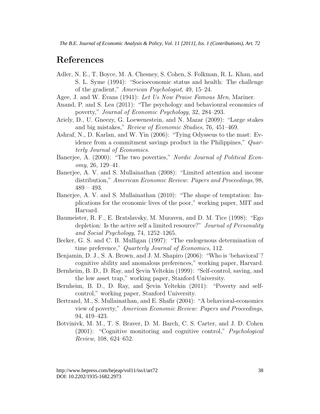# References

- Adler, N. E., T. Boyce, M. A. Chesney, S. Cohen, S. Folkman, R. L. Khan, and S. L. Syme (1994): "Socioeconomic status and health: The challenge of the gradient," American Psychologist, 49, 15–24.
- Agee, J. and W. Evans (1941): Let Us Now Praise Famous Men, Mariner.
- Anand, P. and S. Lea (2011): "The psychology and behavioural economics of poverty," Journal of Economic Psychology, 32, 284–293.
- Ariely, D., U. Gneezy, G. Loewenestein, and N. Mazar (2009): "Large stakes and big mistakes," Review of Economic Studies, 76, 451–469.
- Ashraf, N., D. Karlan, and W. Yin (2006): "Tying Odysseus to the mast: Evidence from a commitment savings product in the Philippines," Quarterly Journal of Economics.
- Banerjee, A. (2000): "The two poverties," *Nordic Journal of Political Econ*omy, 26, 129–41.
- Banerjee, A. V. and S. Mullainathan (2008): "Limited attention and income distribution," American Economic Review: Papers and Proceedings, 98, 489 – 493.
- Banerjee, A. V. and S. Mullainathan (2010): "The shape of temptation: Implications for the economic lives of the poor," working paper, MIT and Harvard.
- Baumeister, R. F., E. Bratslavsky, M. Muraven, and D. M. Tice (1998): "Ego depletion: Is the active self a limited resource?" Journal of Personality and Social Psychology, 74, 1252–1265.
- Becker, G. S. and C. B. Mulligan (1997): "The endogenous determination of time preference," Quarterly Journal of Economics, 112.
- Benjamin, D. J., S. A. Brown, and J. M. Shapiro (2006): "Who is 'behavioral'? cognitive ability and anomalous preferences," working paper, Harvard.
- Bernheim, B. D., D. Ray, and Sevin Yeltekin (1999): "Self-control, saving, and the low asset trap," working paper, Stanford University.
- Bernheim, B. D., D. Ray, and Sevin Yeltekin (2011): "Poverty and selfcontrol," working paper, Stanford University.
- Bertrand, M., S. Mullainathan, and E. Shafir (2004): "A behavioral-economics view of poverty," American Economic Review: Papers and Proceedings, 94, 419–423.
- Botvinivk, M. M., T. S. Braver, D. M. Barch, C. S. Carter, and J. D. Cohen (2001): "Cognitive monitoring and cognitive control," Psychological Review, 108, 624–652.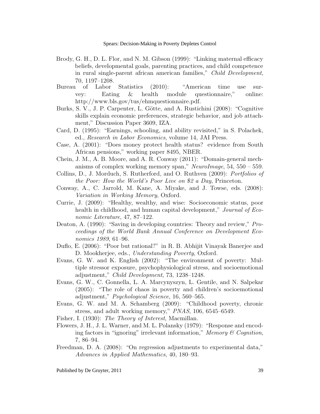- in rural single-parent african american families," Child Development, 70, 1197–1208. Brody, G. H., D. L. Flor, and N. M. Gibson (1999): "Linking maternal efficacy beliefs, developmental goals, parenting practices, and child competence
- Bureau of Labor Statistics (2010): "American time use survey: Eating & health module questionnaire," online: http://www.bls.gov/tus/ehmquestionnaire.pdf.
- Burks, S. V., J. P. Carpenter, L. Götte, and A. Rustichini (2008): "Cognitive skills explain economic preferences, strategic behavior, and job attachment," Discussion Paper 3609, IZA.
- Card, D. (1995): "Earnings, schooling, and ability revisited," in S. Polachek, ed., Research in Labor Economics, volume 14, JAI Press.
- Case, A. (2001): "Does money protect health status? evidence from South African pensions," working paper 8495, NBER.
- Chein, J. M., A. B. Moore, and A. R. Conway (2011): "Domain-general mechanisms of complex working memory span,"  $NeuroImage$ , 54, 550 – 559.
- Collins, D., J. Morduch, S. Rutherford, and O. Ruthven (2009): Portfolios of the Poor: How the World's Poor Live on \$2 a Day, Princeton.
- Conway, A., C. Jarrold, M. Kane, A. Miyake, and J. Towse, eds. (2008): Variation in Working Memory, Oxford.
- Currie, J. (2009): "Healthy, wealthy, and wise: Socioeconomic status, poor health in childhood, and human capital development," Journal of Economic Literature, 47, 87–122.
- Deaton, A. (1990): "Saving in developing countries: Theory and review," Proceedings of the World Bank Annual Conference on Development Economics 1989, 61–96.
- Duflo, E. (2006): "Poor but rational?" in R. B. Abhijit Vinayak Banerjee and D. Mookherjee, eds., Understanding Poverty, Oxford.
- Evans, G. W. and K. English (2002): "The environment of poverty: Multiple stressor exposure, psychophysiological stress, and socioemotional adjustment," Child Development, 73, 1238–1248.
- Evans, G. W., C. Gonnella, L. A. Marcynyszyn, L. Gentile, and N. Salpekar (2005): "The role of chaos in poverty and children's socioemotional adjustment," Psychological Science, 16, 560–565.
- Evans, G. W. and M. A. Schamberg (2009): "Childhood poverty, chronic stress, and adult working memory," PNAS, 106, 6545–6549.
- Fisher, I. (1930): *The Theory of Interest*, Macmillan.
- Flowers, J. H., J. L. Warner, and M. L. Polansky (1979): "Response and encoding factors in "ignoring" irrelevant information," Memory  $\mathcal C$  Cognition, 7, 86–94.
- Freedman, D. A. (2008): "On regression adjustments to experimental data," Advances in Applied Mathematics, 40, 180–93.

Published by De Gruyter, 2011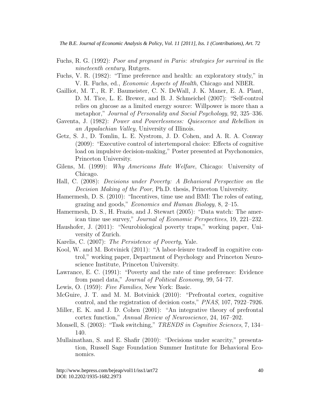*The B.E. Journal of Economic Analysis & Policy, Vol. 11 [2011], Iss. 1 (Contributions), Art. 72*

- Fuchs, R. G. (1992): Poor and pregnant in Paris: strategies for survival in the nineteenth century, Rutgers.
- Fuchs, V. R. (1982): "Time preference and health: an exploratory study," in V. R. Fuchs, ed., Economic Aspects of Health, Chicago and NBER.
- Gailliot, M. T., R. F. Baumeister, C. N. DeWall, J. K. Maner, E. A. Plant, D. M. Tice, L. E. Brewer, and B. J. Schmeichel (2007): "Self-control relies on glucose as a limited energy source: Willpower is more than a metaphor," Journal of Personality and Social Psychology, 92, 325–336.
- Gaventa, J. (1982): Power and Powerlessness: Quiescence and Rebellion in an Appalachian Valley, University of Illinois.
- Getz, S. J., D. Tomlin, L. E. Nystrom, J. D. Cohen, and A. R. A. Conway (2009): "Executive control of intertemporal choice: Effects of cognitive load on impulsive decision-making," Poster presented at Psychonomics, Princeton University.
- Gilens, M. (1999): *Why Americans Hate Welfare*, Chicago: University of Chicago.
- Hall, C. (2008): Decisions under Poverty: A Behavioral Perspective on the Decision Making of the Poor, Ph.D. thesis, Princeton University.
- Hamermesh, D. S. (2010): "Incentives, time use and BMI: The roles of eating, grazing and goods," Economics and Human Biology, 8, 2–15.
- Hamermesh, D. S., H. Frazis, and J. Stewart (2005): "Data watch: The american time use survey," Journal of Economic Perspectives, 19, 221–232.
- Haushofer, J. (2011): "Neurobiological poverty traps," working paper, University of Zurich.
- Karelis, C. (2007): The Persistence of Poverty, Yale.
- Kool, W. and M. Botvinick (2011): "A labor-leisure tradeoff in cognitive control," working paper, Department of Psychology and Princeton Neuroscience Institute, Princeton University.
- Lawrance, E. C. (1991): "Poverty and the rate of time preference: Evidence from panel data," Journal of Political Economy, 99, 54–77.
- Lewis, O. (1959): Five Families, New York: Basic.
- McGuire, J. T. and M. M. Botvinick (2010): "Prefrontal cortex, cognitive control, and the registration of decision costs," PNAS, 107, 7922–7926.
- Miller, E. K. and J. D. Cohen (2001): "An integrative theory of prefrontal cortex function," Annual Review of Neuroscience, 24, 167–202.
- Monsell, S. (2003): "Task switching," *TRENDS in Cognitive Sciences*, 7, 134– 140.
- Mullainathan, S. and E. Shafir (2010): "Decisions under scarcity," presentation, Russell Sage Foundation Summer Institute for Behavioral Economics.

http://www.bepress.com/bejeap/vol11/iss1/art72 DOI: 10.2202/1935-1682.2973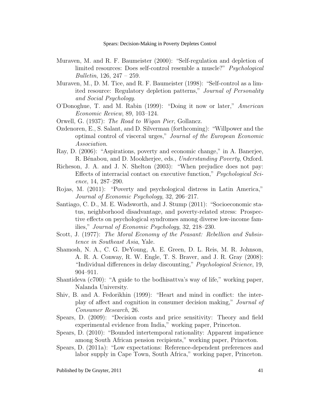- Muraven, M. and R. F. Baumeister (2000): "Self-regulation and depletion of limited resources: Does self-control resemble a muscle?" Psychological Bulletin,  $126, 247 - 259$ .
- Muraven, M., D. M. Tice, and R. F. Baumeister (1998): "Self-control as a limited resource: Regulatory depletion patterns," Journal of Personality and Social Psychology.
- O'Donoghue, T. and M. Rabin (1999): "Doing it now or later," American Economic Review, 89, 103–124.
- Orwell, G. (1937): The Road to Wigan Pier, Gollancz.
- Ozdenoren, E., S. Salant, and D. Silverman (forthcoming): "Willpower and the optimal control of visceral urges," Journal of the European Economic Association.
- Ray, D. (2006): "Aspirations, poverty and economic change," in A. Banerjee, R. Bénabou, and D. Mookherjee, eds., Understanding Poverty, Oxford.
- Richeson, J. A. and J. N. Shelton (2003): "When prejudice does not pay: Effects of interracial contact on executive function," Psychological Science, 14, 287–290.
- Rojas, M. (2011): "Poverty and psychological distress in Latin America," Journal of Economic Psychology, 32, 206–217.
- Santiago, C. D., M. E. Wadsworth, and J. Stump (2011): "Socioeconomic status, neighborhood disadvantage, and poverty-related stress: Prospective effects on psychological syndromes among diverse low-income families," Journal of Economic Psychology, 32, 218–230.
- Scott, J. (1977): The Moral Economy of the Peasant: Rebellion and Subsistence in Southeast Asia, Yale.
- Shamosh, N. A., C. G. DeYoung, A. E. Green, D. L. Reis, M. R. Johnson, A. R. A. Conway, R. W. Engle, T. S. Braver, and J. R. Gray (2008): "Individual differences in delay discounting," Psychological Science, 19, 904–911.
- Shantideva (c700): "A guide to the bodhisattva's way of life," working paper, Nalanda University.
- Shiv, B. and A. Fedorikhin (1999): "Heart and mind in conflict: the interplay of affect and cognition in consumer decision making," Journal of Consumer Research, 26.
- Spears, D. (2009): "Decision costs and price sensitivity: Theory and field experimental evidence from India," working paper, Princeton.
- Spears, D. (2010): "Bounded intertemporal rationality: Apparent impatience among South African pension recipients," working paper, Princeton.
- Spears, D. (2011a): "Low expectations: Reference-dependent preferences and labor supply in Cape Town, South Africa," working paper, Princeton.

Published by De Gruyter, 2011